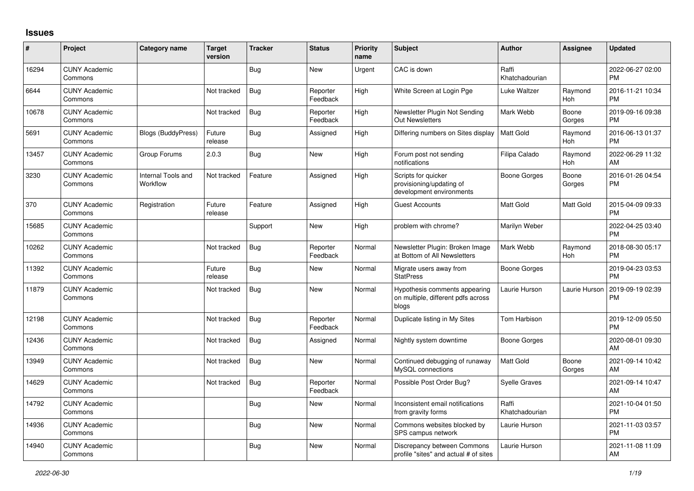## **Issues**

| ∦     | Project                         | Category name                         | <b>Target</b><br>version | <b>Tracker</b> | <b>Status</b>        | <b>Priority</b><br>name | <b>Subject</b>                                                               | <b>Author</b>           | <b>Assignee</b> | <b>Updated</b>                |
|-------|---------------------------------|---------------------------------------|--------------------------|----------------|----------------------|-------------------------|------------------------------------------------------------------------------|-------------------------|-----------------|-------------------------------|
| 16294 | <b>CUNY Academic</b><br>Commons |                                       |                          | Bug            | <b>New</b>           | Urgent                  | CAC is down                                                                  | Raffi<br>Khatchadourian |                 | 2022-06-27 02:00<br><b>PM</b> |
| 6644  | <b>CUNY Academic</b><br>Commons |                                       | Not tracked              | <b>Bug</b>     | Reporter<br>Feedback | High                    | White Screen at Login Pge                                                    | Luke Waltzer            | Raymond<br>Hoh  | 2016-11-21 10:34<br><b>PM</b> |
| 10678 | <b>CUNY Academic</b><br>Commons |                                       | Not tracked              | Bug            | Reporter<br>Feedback | High                    | Newsletter Plugin Not Sending<br>Out Newsletters                             | Mark Webb               | Boone<br>Gorges | 2019-09-16 09:38<br><b>PM</b> |
| 5691  | <b>CUNY Academic</b><br>Commons | Blogs (BuddyPress)                    | Future<br>release        | <b>Bug</b>     | Assigned             | High                    | Differing numbers on Sites display                                           | <b>Matt Gold</b>        | Raymond<br>Hoh  | 2016-06-13 01:37<br><b>PM</b> |
| 13457 | <b>CUNY Academic</b><br>Commons | Group Forums                          | 2.0.3                    | Bug            | New                  | High                    | Forum post not sending<br>notifications                                      | Filipa Calado           | Raymond<br>Hoh  | 2022-06-29 11:32<br><b>AM</b> |
| 3230  | <b>CUNY Academic</b><br>Commons | <b>Internal Tools and</b><br>Workflow | Not tracked              | Feature        | Assigned             | High                    | Scripts for quicker<br>provisioning/updating of<br>development environments  | Boone Gorges            | Boone<br>Gorges | 2016-01-26 04:54<br><b>PM</b> |
| 370   | <b>CUNY Academic</b><br>Commons | Registration                          | Future<br>release        | Feature        | Assigned             | High                    | <b>Guest Accounts</b>                                                        | <b>Matt Gold</b>        | Matt Gold       | 2015-04-09 09:33<br><b>PM</b> |
| 15685 | <b>CUNY Academic</b><br>Commons |                                       |                          | Support        | <b>New</b>           | High                    | problem with chrome?                                                         | Marilyn Weber           |                 | 2022-04-25 03:40<br><b>PM</b> |
| 10262 | <b>CUNY Academic</b><br>Commons |                                       | Not tracked              | <b>Bug</b>     | Reporter<br>Feedback | Normal                  | Newsletter Plugin: Broken Image<br>at Bottom of All Newsletters              | Mark Webb               | Raymond<br>Hoh  | 2018-08-30 05:17<br><b>PM</b> |
| 11392 | <b>CUNY Academic</b><br>Commons |                                       | Future<br>release        | Bug            | <b>New</b>           | Normal                  | Migrate users away from<br><b>StatPress</b>                                  | Boone Gorges            |                 | 2019-04-23 03:53<br><b>PM</b> |
| 11879 | <b>CUNY Academic</b><br>Commons |                                       | Not tracked              | Bug            | <b>New</b>           | Normal                  | Hypothesis comments appearing<br>on multiple, different pdfs across<br>blogs | Laurie Hurson           | Laurie Hurson   | 2019-09-19 02:39<br>PM        |
| 12198 | <b>CUNY Academic</b><br>Commons |                                       | Not tracked              | <b>Bug</b>     | Reporter<br>Feedback | Normal                  | Duplicate listing in My Sites                                                | Tom Harbison            |                 | 2019-12-09 05:50<br><b>PM</b> |
| 12436 | <b>CUNY Academic</b><br>Commons |                                       | Not tracked              | <b>Bug</b>     | Assigned             | Normal                  | Nightly system downtime                                                      | <b>Boone Gorges</b>     |                 | 2020-08-01 09:30<br>AM        |
| 13949 | <b>CUNY Academic</b><br>Commons |                                       | Not tracked              | <b>Bug</b>     | <b>New</b>           | Normal                  | Continued debugging of runaway<br>MySQL connections                          | <b>Matt Gold</b>        | Boone<br>Gorges | 2021-09-14 10:42<br>AM        |
| 14629 | <b>CUNY Academic</b><br>Commons |                                       | Not tracked              | Bug            | Reporter<br>Feedback | Normal                  | Possible Post Order Bug?                                                     | Syelle Graves           |                 | 2021-09-14 10:47<br>AM        |
| 14792 | <b>CUNY Academic</b><br>Commons |                                       |                          | Bug            | <b>New</b>           | Normal                  | Inconsistent email notifications<br>from gravity forms                       | Raffi<br>Khatchadourian |                 | 2021-10-04 01:50<br><b>PM</b> |
| 14936 | <b>CUNY Academic</b><br>Commons |                                       |                          | <b>Bug</b>     | <b>New</b>           | Normal                  | Commons websites blocked by<br>SPS campus network                            | Laurie Hurson           |                 | 2021-11-03 03:57<br><b>PM</b> |
| 14940 | <b>CUNY Academic</b><br>Commons |                                       |                          | <b>Bug</b>     | <b>New</b>           | Normal                  | Discrepancy between Commons<br>profile "sites" and actual # of sites         | Laurie Hurson           |                 | 2021-11-08 11:09<br>AM        |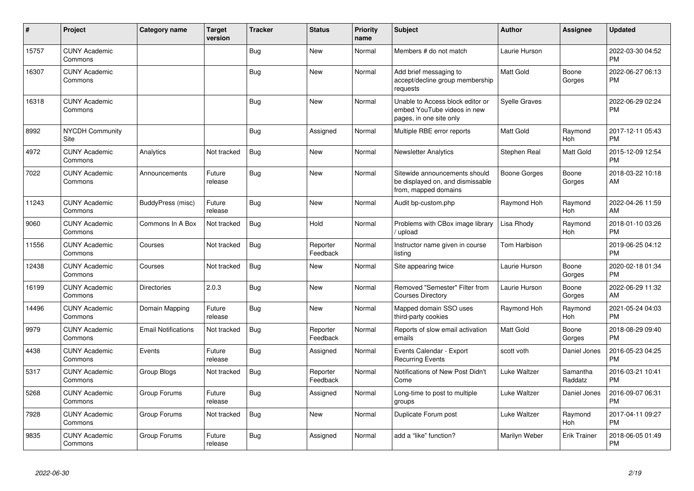| #     | Project                         | <b>Category name</b>       | <b>Target</b><br>version | <b>Tracker</b> | <b>Status</b>        | <b>Priority</b><br>name | <b>Subject</b>                                                                             | <b>Author</b>        | <b>Assignee</b>     | <b>Updated</b>                |
|-------|---------------------------------|----------------------------|--------------------------|----------------|----------------------|-------------------------|--------------------------------------------------------------------------------------------|----------------------|---------------------|-------------------------------|
| 15757 | <b>CUNY Academic</b><br>Commons |                            |                          | Bug            | <b>New</b>           | Normal                  | Members # do not match                                                                     | Laurie Hurson        |                     | 2022-03-30 04:52<br><b>PM</b> |
| 16307 | <b>CUNY Academic</b><br>Commons |                            |                          | <b>Bug</b>     | <b>New</b>           | Normal                  | Add brief messaging to<br>accept/decline group membership<br>requests                      | <b>Matt Gold</b>     | Boone<br>Gorges     | 2022-06-27 06:13<br><b>PM</b> |
| 16318 | <b>CUNY Academic</b><br>Commons |                            |                          | Bug            | New                  | Normal                  | Unable to Access block editor or<br>embed YouTube videos in new<br>pages, in one site only | <b>Syelle Graves</b> |                     | 2022-06-29 02:24<br><b>PM</b> |
| 8992  | <b>NYCDH Community</b><br>Site  |                            |                          | <b>Bug</b>     | Assigned             | Normal                  | Multiple RBE error reports                                                                 | <b>Matt Gold</b>     | Raymond<br>Hoh      | 2017-12-11 05:43<br><b>PM</b> |
| 4972  | <b>CUNY Academic</b><br>Commons | Analytics                  | Not tracked              | Bug            | <b>New</b>           | Normal                  | <b>Newsletter Analytics</b>                                                                | Stephen Real         | Matt Gold           | 2015-12-09 12:54<br><b>PM</b> |
| 7022  | <b>CUNY Academic</b><br>Commons | Announcements              | Future<br>release        | Bug            | <b>New</b>           | Normal                  | Sitewide announcements should<br>be displayed on, and dismissable<br>from, mapped domains  | Boone Gorges         | Boone<br>Gorges     | 2018-03-22 10:18<br>AM        |
| 11243 | <b>CUNY Academic</b><br>Commons | BuddyPress (misc)          | Future<br>release        | Bug            | <b>New</b>           | Normal                  | Audit bp-custom.php                                                                        | Raymond Hoh          | Raymond<br>Hoh      | 2022-04-26 11:59<br>AM        |
| 9060  | <b>CUNY Academic</b><br>Commons | Commons In A Box           | Not tracked              | Bug            | Hold                 | Normal                  | Problems with CBox image library<br>/ upload                                               | Lisa Rhody           | Raymond<br>Hoh      | 2018-01-10 03:26<br><b>PM</b> |
| 11556 | <b>CUNY Academic</b><br>Commons | Courses                    | Not tracked              | <b>Bug</b>     | Reporter<br>Feedback | Normal                  | Instructor name given in course<br>listina                                                 | <b>Tom Harbison</b>  |                     | 2019-06-25 04:12<br><b>PM</b> |
| 12438 | <b>CUNY Academic</b><br>Commons | Courses                    | Not tracked              | Bug            | New                  | Normal                  | Site appearing twice                                                                       | Laurie Hurson        | Boone<br>Gorges     | 2020-02-18 01:34<br><b>PM</b> |
| 16199 | <b>CUNY Academic</b><br>Commons | Directories                | 2.0.3                    | <b>Bug</b>     | <b>New</b>           | Normal                  | Removed "Semester" Filter from<br><b>Courses Directory</b>                                 | Laurie Hurson        | Boone<br>Gorges     | 2022-06-29 11:32<br>AM        |
| 14496 | <b>CUNY Academic</b><br>Commons | Domain Mapping             | Future<br>release        | <b>Bug</b>     | <b>New</b>           | Normal                  | Mapped domain SSO uses<br>third-party cookies                                              | Raymond Hoh          | Raymond<br>Hoh      | 2021-05-24 04:03<br><b>PM</b> |
| 9979  | <b>CUNY Academic</b><br>Commons | <b>Email Notifications</b> | Not tracked              | Bug            | Reporter<br>Feedback | Normal                  | Reports of slow email activation<br>emails                                                 | Matt Gold            | Boone<br>Gorges     | 2018-08-29 09:40<br><b>PM</b> |
| 4438  | <b>CUNY Academic</b><br>Commons | Events                     | Future<br>release        | Bug            | Assigned             | Normal                  | Events Calendar - Export<br><b>Recurring Events</b>                                        | scott voth           | Daniel Jones        | 2016-05-23 04:25<br><b>PM</b> |
| 5317  | <b>CUNY Academic</b><br>Commons | Group Blogs                | Not tracked              | Bug            | Reporter<br>Feedback | Normal                  | Notifications of New Post Didn't<br>Come                                                   | Luke Waltzer         | Samantha<br>Raddatz | 2016-03-21 10:41<br><b>PM</b> |
| 5268  | <b>CUNY Academic</b><br>Commons | Group Forums               | Future<br>release        | Bug            | Assigned             | Normal                  | Long-time to post to multiple<br>groups                                                    | Luke Waltzer         | Daniel Jones        | 2016-09-07 06:31<br><b>PM</b> |
| 7928  | <b>CUNY Academic</b><br>Commons | Group Forums               | Not tracked              | <b>Bug</b>     | <b>New</b>           | Normal                  | Duplicate Forum post                                                                       | Luke Waltzer         | Raymond<br>Hoh      | 2017-04-11 09:27<br><b>PM</b> |
| 9835  | <b>CUNY Academic</b><br>Commons | Group Forums               | Future<br>release        | <b>Bug</b>     | Assigned             | Normal                  | add a "like" function?                                                                     | Marilyn Weber        | <b>Erik Trainer</b> | 2018-06-05 01:49<br><b>PM</b> |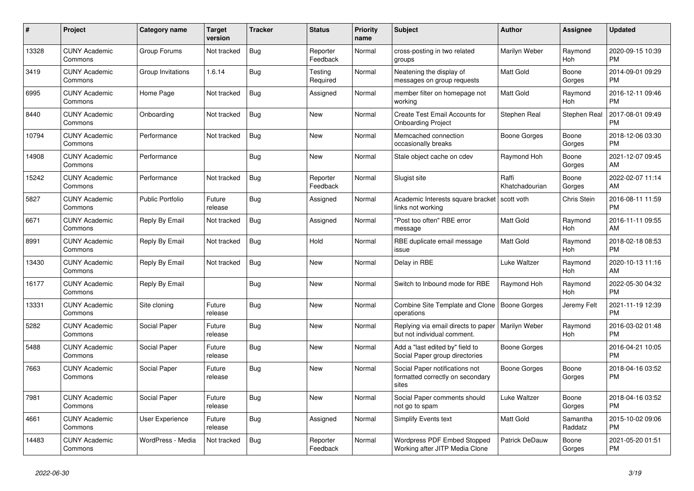| $\pmb{\#}$ | <b>Project</b>                  | <b>Category name</b>    | <b>Target</b><br>version | <b>Tracker</b> | <b>Status</b>        | <b>Priority</b><br>name | <b>Subject</b>                                                              | <b>Author</b>           | Assignee            | <b>Updated</b>                |
|------------|---------------------------------|-------------------------|--------------------------|----------------|----------------------|-------------------------|-----------------------------------------------------------------------------|-------------------------|---------------------|-------------------------------|
| 13328      | <b>CUNY Academic</b><br>Commons | Group Forums            | Not tracked              | <b>Bug</b>     | Reporter<br>Feedback | Normal                  | cross-posting in two related<br>groups                                      | Marilyn Weber           | Raymond<br>Hoh      | 2020-09-15 10:39<br><b>PM</b> |
| 3419       | <b>CUNY Academic</b><br>Commons | Group Invitations       | 1.6.14                   | Bug            | Testing<br>Required  | Normal                  | Neatening the display of<br>messages on group requests                      | Matt Gold               | Boone<br>Gorges     | 2014-09-01 09:29<br><b>PM</b> |
| 6995       | <b>CUNY Academic</b><br>Commons | Home Page               | Not tracked              | Bug            | Assigned             | Normal                  | member filter on homepage not<br>workina                                    | <b>Matt Gold</b>        | Raymond<br>Hoh      | 2016-12-11 09:46<br><b>PM</b> |
| 8440       | <b>CUNY Academic</b><br>Commons | Onboarding              | Not tracked              | <b>Bug</b>     | <b>New</b>           | Normal                  | Create Test Email Accounts for<br><b>Onboarding Project</b>                 | Stephen Real            | Stephen Real        | 2017-08-01 09:49<br><b>PM</b> |
| 10794      | <b>CUNY Academic</b><br>Commons | Performance             | Not tracked              | Bug            | New                  | Normal                  | Memcached connection<br>occasionally breaks                                 | Boone Gorges            | Boone<br>Gorges     | 2018-12-06 03:30<br><b>PM</b> |
| 14908      | <b>CUNY Academic</b><br>Commons | Performance             |                          | Bug            | New                  | Normal                  | Stale object cache on cdev                                                  | Raymond Hoh             | Boone<br>Gorges     | 2021-12-07 09:45<br>AM        |
| 15242      | <b>CUNY Academic</b><br>Commons | Performance             | Not tracked              | <b>Bug</b>     | Reporter<br>Feedback | Normal                  | Slugist site                                                                | Raffi<br>Khatchadourian | Boone<br>Gorges     | 2022-02-07 11:14<br>AM        |
| 5827       | <b>CUNY Academic</b><br>Commons | <b>Public Portfolio</b> | Future<br>release        | Bug            | Assigned             | Normal                  | Academic Interests square bracket<br>links not working                      | scott voth              | Chris Stein         | 2016-08-11 11:59<br><b>PM</b> |
| 6671       | <b>CUNY Academic</b><br>Commons | Reply By Email          | Not tracked              | Bug            | Assigned             | Normal                  | "Post too often" RBE error<br>message                                       | Matt Gold               | Raymond<br>Hoh      | 2016-11-11 09:55<br>AM        |
| 8991       | <b>CUNY Academic</b><br>Commons | Reply By Email          | Not tracked              | <b>Bug</b>     | Hold                 | Normal                  | RBE duplicate email message<br>issue                                        | Matt Gold               | Raymond<br>Hoh      | 2018-02-18 08:53<br><b>PM</b> |
| 13430      | <b>CUNY Academic</b><br>Commons | Reply By Email          | Not tracked              | <b>Bug</b>     | <b>New</b>           | Normal                  | Delay in RBE                                                                | Luke Waltzer            | Raymond<br>Hoh      | 2020-10-13 11:16<br>AM        |
| 16177      | <b>CUNY Academic</b><br>Commons | Reply By Email          |                          | <b>Bug</b>     | <b>New</b>           | Normal                  | Switch to Inbound mode for RBE                                              | Raymond Hoh             | Raymond<br>Hoh      | 2022-05-30 04:32<br><b>PM</b> |
| 13331      | <b>CUNY Academic</b><br>Commons | Site cloning            | Future<br>release        | Bug            | New                  | Normal                  | Combine Site Template and Clone   Boone Gorges<br>operations                |                         | Jeremy Felt         | 2021-11-19 12:39<br><b>PM</b> |
| 5282       | <b>CUNY Academic</b><br>Commons | Social Paper            | Future<br>release        | Bug            | New                  | Normal                  | Replying via email directs to paper<br>but not individual comment.          | Marilyn Weber           | Raymond<br>Hoh      | 2016-03-02 01:48<br><b>PM</b> |
| 5488       | <b>CUNY Academic</b><br>Commons | Social Paper            | Future<br>release        | Bug            | <b>New</b>           | Normal                  | Add a "last edited by" field to<br>Social Paper group directories           | Boone Gorges            |                     | 2016-04-21 10:05<br><b>PM</b> |
| 7663       | <b>CUNY Academic</b><br>Commons | Social Paper            | Future<br>release        | Bug            | <b>New</b>           | Normal                  | Social Paper notifications not<br>formatted correctly on secondary<br>sites | Boone Gorges            | Boone<br>Gorges     | 2018-04-16 03:52<br><b>PM</b> |
| 7981       | <b>CUNY Academic</b><br>Commons | Social Paper            | Future<br>release        | Bug            | <b>New</b>           | Normal                  | Social Paper comments should<br>not go to spam                              | Luke Waltzer            | Boone<br>Gorges     | 2018-04-16 03:52<br><b>PM</b> |
| 4661       | <b>CUNY Academic</b><br>Commons | <b>User Experience</b>  | Future<br>release        | <b>Bug</b>     | Assigned             | Normal                  | <b>Simplify Events text</b>                                                 | Matt Gold               | Samantha<br>Raddatz | 2015-10-02 09:06<br><b>PM</b> |
| 14483      | <b>CUNY Academic</b><br>Commons | WordPress - Media       | Not tracked              | Bug            | Reporter<br>Feedback | Normal                  | Wordpress PDF Embed Stopped<br>Working after JITP Media Clone               | Patrick DeDauw          | Boone<br>Gorges     | 2021-05-20 01:51<br><b>PM</b> |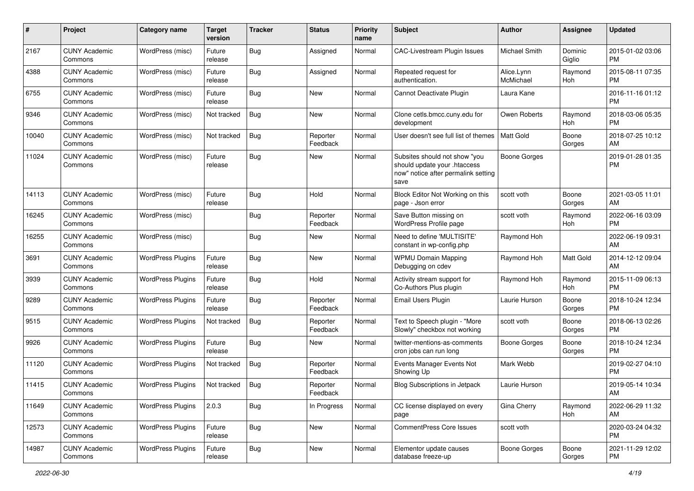| #     | Project                         | Category name            | <b>Target</b><br>version | <b>Tracker</b> | <b>Status</b>        | <b>Priority</b><br>name | Subject                                                                                                      | Author                  | <b>Assignee</b>   | <b>Updated</b>                |
|-------|---------------------------------|--------------------------|--------------------------|----------------|----------------------|-------------------------|--------------------------------------------------------------------------------------------------------------|-------------------------|-------------------|-------------------------------|
| 2167  | <b>CUNY Academic</b><br>Commons | WordPress (misc)         | Future<br>release        | Bug            | Assigned             | Normal                  | CAC-Livestream Plugin Issues                                                                                 | Michael Smith           | Dominic<br>Giglio | 2015-01-02 03:06<br><b>PM</b> |
| 4388  | <b>CUNY Academic</b><br>Commons | WordPress (misc)         | Future<br>release        | Bug            | Assigned             | Normal                  | Repeated request for<br>authentication.                                                                      | Alice.Lynn<br>McMichael | Raymond<br>Hoh    | 2015-08-11 07:35<br><b>PM</b> |
| 6755  | <b>CUNY Academic</b><br>Commons | WordPress (misc)         | Future<br>release        | Bug            | New                  | Normal                  | Cannot Deactivate Plugin                                                                                     | Laura Kane              |                   | 2016-11-16 01:12<br>PM        |
| 9346  | <b>CUNY Academic</b><br>Commons | WordPress (misc)         | Not tracked              | Bug            | <b>New</b>           | Normal                  | Clone cetls.bmcc.cuny.edu for<br>development                                                                 | Owen Roberts            | Raymond<br>Hoh    | 2018-03-06 05:35<br><b>PM</b> |
| 10040 | <b>CUNY Academic</b><br>Commons | WordPress (misc)         | Not tracked              | Bug            | Reporter<br>Feedback | Normal                  | User doesn't see full list of themes                                                                         | Matt Gold               | Boone<br>Gorges   | 2018-07-25 10:12<br>AM        |
| 11024 | <b>CUNY Academic</b><br>Commons | WordPress (misc)         | Future<br>release        | Bug            | New                  | Normal                  | Subsites should not show "you<br>should update your .htaccess<br>now" notice after permalink setting<br>save | <b>Boone Gorges</b>     |                   | 2019-01-28 01:35<br><b>PM</b> |
| 14113 | <b>CUNY Academic</b><br>Commons | WordPress (misc)         | Future<br>release        | Bug            | Hold                 | Normal                  | Block Editor Not Working on this<br>page - Json error                                                        | scott voth              | Boone<br>Gorges   | 2021-03-05 11:01<br>AM        |
| 16245 | <b>CUNY Academic</b><br>Commons | WordPress (misc)         |                          | Bug            | Reporter<br>Feedback | Normal                  | Save Button missing on<br>WordPress Profile page                                                             | scott voth              | Raymond<br>Hoh    | 2022-06-16 03:09<br><b>PM</b> |
| 16255 | <b>CUNY Academic</b><br>Commons | WordPress (misc)         |                          | Bug            | New                  | Normal                  | Need to define 'MULTISITE'<br>constant in wp-config.php                                                      | Raymond Hoh             |                   | 2022-06-19 09:31<br>AM        |
| 3691  | <b>CUNY Academic</b><br>Commons | <b>WordPress Plugins</b> | Future<br>release        | Bug            | <b>New</b>           | Normal                  | <b>WPMU Domain Mapping</b><br>Debugging on cdev                                                              | Raymond Hoh             | Matt Gold         | 2014-12-12 09:04<br>AM        |
| 3939  | <b>CUNY Academic</b><br>Commons | <b>WordPress Plugins</b> | Future<br>release        | Bug            | Hold                 | Normal                  | Activity stream support for<br>Co-Authors Plus plugin                                                        | Raymond Hoh             | Raymond<br>Hoh    | 2015-11-09 06:13<br><b>PM</b> |
| 9289  | <b>CUNY Academic</b><br>Commons | <b>WordPress Plugins</b> | Future<br>release        | Bug            | Reporter<br>Feedback | Normal                  | Email Users Plugin                                                                                           | Laurie Hurson           | Boone<br>Gorges   | 2018-10-24 12:34<br><b>PM</b> |
| 9515  | <b>CUNY Academic</b><br>Commons | <b>WordPress Plugins</b> | Not tracked              | Bug            | Reporter<br>Feedback | Normal                  | Text to Speech plugin - "More<br>Slowly" checkbox not working                                                | scott voth              | Boone<br>Gorges   | 2018-06-13 02:26<br><b>PM</b> |
| 9926  | <b>CUNY Academic</b><br>Commons | <b>WordPress Plugins</b> | Future<br>release        | Bug            | New                  | Normal                  | twitter-mentions-as-comments<br>cron jobs can run long                                                       | <b>Boone Gorges</b>     | Boone<br>Gorges   | 2018-10-24 12:34<br><b>PM</b> |
| 11120 | <b>CUNY Academic</b><br>Commons | <b>WordPress Plugins</b> | Not tracked              | Bug            | Reporter<br>Feedback | Normal                  | Events Manager Events Not<br>Showing Up                                                                      | Mark Webb               |                   | 2019-02-27 04:10<br><b>PM</b> |
| 11415 | <b>CUNY Academic</b><br>Commons | <b>WordPress Plugins</b> | Not tracked              | Bug            | Reporter<br>Feedback | Normal                  | Blog Subscriptions in Jetpack                                                                                | Laurie Hurson           |                   | 2019-05-14 10:34<br>AM        |
| 11649 | <b>CUNY Academic</b><br>Commons | <b>WordPress Plugins</b> | 2.0.3                    | Bug            | In Progress          | Normal                  | CC license displayed on every<br>page                                                                        | Gina Cherry             | Raymond<br>Hoh    | 2022-06-29 11:32<br>AM        |
| 12573 | <b>CUNY Academic</b><br>Commons | <b>WordPress Plugins</b> | Future<br>release        | <b>Bug</b>     | New                  | Normal                  | CommentPress Core Issues                                                                                     | scott voth              |                   | 2020-03-24 04:32<br><b>PM</b> |
| 14987 | <b>CUNY Academic</b><br>Commons | <b>WordPress Plugins</b> | Future<br>release        | <b>Bug</b>     | New                  | Normal                  | Elementor update causes<br>database freeze-up                                                                | Boone Gorges            | Boone<br>Gorges   | 2021-11-29 12:02<br><b>PM</b> |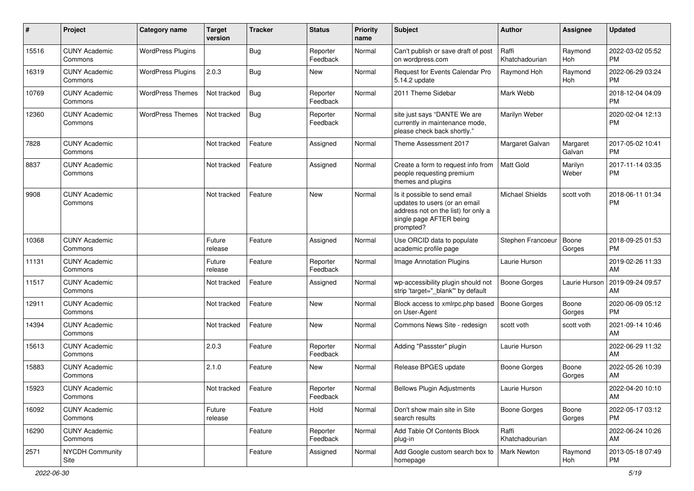| #     | Project                         | Category name            | <b>Target</b><br>version | <b>Tracker</b> | <b>Status</b>        | <b>Priority</b><br>name | <b>Subject</b>                                                                                                                               | <b>Author</b>           | <b>Assignee</b>    | <b>Updated</b>                |
|-------|---------------------------------|--------------------------|--------------------------|----------------|----------------------|-------------------------|----------------------------------------------------------------------------------------------------------------------------------------------|-------------------------|--------------------|-------------------------------|
| 15516 | <b>CUNY Academic</b><br>Commons | <b>WordPress Plugins</b> |                          | <b>Bug</b>     | Reporter<br>Feedback | Normal                  | Can't publish or save draft of post<br>on wordpress.com                                                                                      | Raffi<br>Khatchadourian | Raymond<br>Hoh     | 2022-03-02 05:52<br><b>PM</b> |
| 16319 | <b>CUNY Academic</b><br>Commons | <b>WordPress Plugins</b> | 2.0.3                    | Bug            | New                  | Normal                  | Request for Events Calendar Pro<br>5.14.2 update                                                                                             | Raymond Hoh             | Raymond<br>Hoh     | 2022-06-29 03:24<br><b>PM</b> |
| 10769 | <b>CUNY Academic</b><br>Commons | <b>WordPress Themes</b>  | Not tracked              | Bug            | Reporter<br>Feedback | Normal                  | 2011 Theme Sidebar                                                                                                                           | Mark Webb               |                    | 2018-12-04 04:09<br><b>PM</b> |
| 12360 | <b>CUNY Academic</b><br>Commons | <b>WordPress Themes</b>  | Not tracked              | Bug            | Reporter<br>Feedback | Normal                  | site just says "DANTE We are<br>currently in maintenance mode,<br>please check back shortly."                                                | Marilyn Weber           |                    | 2020-02-04 12:13<br><b>PM</b> |
| 7828  | <b>CUNY Academic</b><br>Commons |                          | Not tracked              | Feature        | Assigned             | Normal                  | Theme Assessment 2017                                                                                                                        | Margaret Galvan         | Margaret<br>Galvan | 2017-05-02 10:41<br><b>PM</b> |
| 8837  | <b>CUNY Academic</b><br>Commons |                          | Not tracked              | Feature        | Assigned             | Normal                  | Create a form to request info from<br>people requesting premium<br>themes and plugins                                                        | Matt Gold               | Marilyn<br>Weber   | 2017-11-14 03:35<br><b>PM</b> |
| 9908  | <b>CUNY Academic</b><br>Commons |                          | Not tracked              | Feature        | New                  | Normal                  | Is it possible to send email<br>updates to users (or an email<br>address not on the list) for only a<br>single page AFTER being<br>prompted? | <b>Michael Shields</b>  | scott voth         | 2018-06-11 01:34<br><b>PM</b> |
| 10368 | <b>CUNY Academic</b><br>Commons |                          | Future<br>release        | Feature        | Assigned             | Normal                  | Use ORCID data to populate<br>academic profile page                                                                                          | Stephen Francoeur       | Boone<br>Gorges    | 2018-09-25 01:53<br><b>PM</b> |
| 11131 | <b>CUNY Academic</b><br>Commons |                          | Future<br>release        | Feature        | Reporter<br>Feedback | Normal                  | Image Annotation Plugins                                                                                                                     | Laurie Hurson           |                    | 2019-02-26 11:33<br>AM        |
| 11517 | <b>CUNY Academic</b><br>Commons |                          | Not tracked              | Feature        | Assigned             | Normal                  | wp-accessibility plugin should not<br>strip 'target=" blank" by default                                                                      | <b>Boone Gorges</b>     | Laurie Hurson      | 2019-09-24 09:57<br>AM        |
| 12911 | <b>CUNY Academic</b><br>Commons |                          | Not tracked              | Feature        | New                  | Normal                  | Block access to xmlrpc.php based<br>on User-Agent                                                                                            | <b>Boone Gorges</b>     | Boone<br>Gorges    | 2020-06-09 05:12<br><b>PM</b> |
| 14394 | <b>CUNY Academic</b><br>Commons |                          | Not tracked              | Feature        | <b>New</b>           | Normal                  | Commons News Site - redesign                                                                                                                 | scott voth              | scott voth         | 2021-09-14 10:46<br>AM        |
| 15613 | <b>CUNY Academic</b><br>Commons |                          | 2.0.3                    | Feature        | Reporter<br>Feedback | Normal                  | Adding "Passster" plugin                                                                                                                     | Laurie Hurson           |                    | 2022-06-29 11:32<br>AM        |
| 15883 | <b>CUNY Academic</b><br>Commons |                          | 2.1.0                    | Feature        | New                  | Normal                  | Release BPGES update                                                                                                                         | <b>Boone Gorges</b>     | Boone<br>Gorges    | 2022-05-26 10:39<br>AM        |
| 15923 | <b>CUNY Academic</b><br>Commons |                          | Not tracked              | Feature        | Reporter<br>Feedback | Normal                  | <b>Bellows Plugin Adjustments</b>                                                                                                            | Laurie Hurson           |                    | 2022-04-20 10:10<br>AM        |
| 16092 | <b>CUNY Academic</b><br>Commons |                          | Future<br>release        | Feature        | Hold                 | Normal                  | Don't show main site in Site<br>search results                                                                                               | <b>Boone Gorges</b>     | Boone<br>Gorges    | 2022-05-17 03:12<br><b>PM</b> |
| 16290 | <b>CUNY Academic</b><br>Commons |                          |                          | Feature        | Reporter<br>Feedback | Normal                  | Add Table Of Contents Block<br>plug-in                                                                                                       | Raffi<br>Khatchadourian |                    | 2022-06-24 10:26<br>AM        |
| 2571  | NYCDH Community<br>Site         |                          |                          | Feature        | Assigned             | Normal                  | Add Google custom search box to<br>homepage                                                                                                  | Mark Newton             | Raymond<br>Hoh     | 2013-05-18 07:49<br>PM        |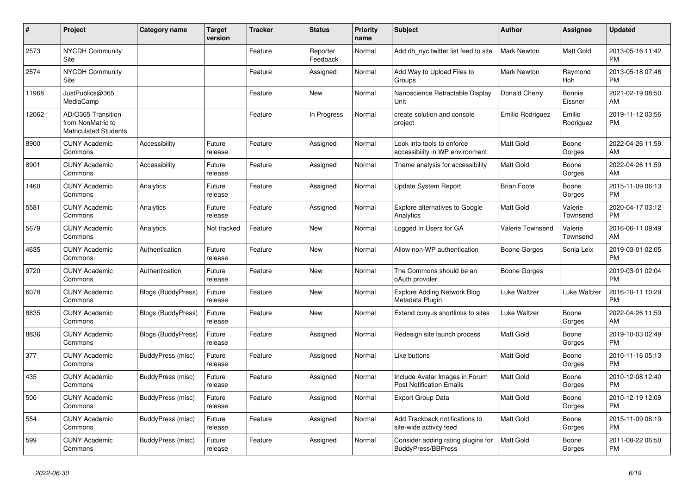| #     | Project                                                                 | <b>Category name</b>      | <b>Target</b><br>version | <b>Tracker</b> | <b>Status</b>        | <b>Priority</b><br>name | <b>Subject</b>                                                    | <b>Author</b>      | <b>Assignee</b>     | <b>Updated</b>                |
|-------|-------------------------------------------------------------------------|---------------------------|--------------------------|----------------|----------------------|-------------------------|-------------------------------------------------------------------|--------------------|---------------------|-------------------------------|
| 2573  | <b>NYCDH Community</b><br>Site                                          |                           |                          | Feature        | Reporter<br>Feedback | Normal                  | Add dh nyc twitter list feed to site                              | <b>Mark Newton</b> | Matt Gold           | 2013-05-16 11:42<br><b>PM</b> |
| 2574  | <b>NYCDH Community</b><br>Site                                          |                           |                          | Feature        | Assigned             | Normal                  | Add Way to Upload Files to<br>Groups                              | Mark Newton        | Raymond<br>Hoh      | 2013-05-18 07:46<br><b>PM</b> |
| 11968 | JustPublics@365<br>MediaCamp                                            |                           |                          | Feature        | New                  | Normal                  | Nanoscience Retractable Display<br>Unit                           | Donald Cherry      | Bonnie<br>Eissner   | 2021-02-19 08:50<br>AM        |
| 12062 | AD/O365 Transition<br>from NonMatric to<br><b>Matriculated Students</b> |                           |                          | Feature        | In Progress          | Normal                  | create solution and console<br>project                            | Emilio Rodriguez   | Emilio<br>Rodriguez | 2019-11-12 03:56<br><b>PM</b> |
| 8900  | <b>CUNY Academic</b><br>Commons                                         | Accessibility             | Future<br>release        | Feature        | Assigned             | Normal                  | Look into tools to enforce<br>accessibility in WP environment     | <b>Matt Gold</b>   | Boone<br>Gorges     | 2022-04-26 11:59<br>AM        |
| 8901  | <b>CUNY Academic</b><br>Commons                                         | Accessibility             | Future<br>release        | Feature        | Assigned             | Normal                  | Theme analysis for accessibility                                  | <b>Matt Gold</b>   | Boone<br>Gorges     | 2022-04-26 11:59<br>AM        |
| 1460  | <b>CUNY Academic</b><br>Commons                                         | Analytics                 | Future<br>release        | Feature        | Assigned             | Normal                  | <b>Update System Report</b>                                       | <b>Brian Foote</b> | Boone<br>Gorges     | 2015-11-09 06:13<br><b>PM</b> |
| 5581  | <b>CUNY Academic</b><br>Commons                                         | Analytics                 | Future<br>release        | Feature        | Assigned             | Normal                  | Explore alternatives to Google<br>Analytics                       | <b>Matt Gold</b>   | Valerie<br>Townsend | 2020-04-17 03:12<br><b>PM</b> |
| 5679  | <b>CUNY Academic</b><br>Commons                                         | Analytics                 | Not tracked              | Feature        | <b>New</b>           | Normal                  | Logged In Users for GA                                            | Valerie Townsend   | Valerie<br>Townsend | 2016-06-11 09:49<br>AM        |
| 4635  | <b>CUNY Academic</b><br>Commons                                         | Authentication            | Future<br>release        | Feature        | <b>New</b>           | Normal                  | Allow non-WP authentication                                       | Boone Gorges       | Sonja Leix          | 2019-03-01 02:05<br><b>PM</b> |
| 9720  | <b>CUNY Academic</b><br>Commons                                         | Authentication            | Future<br>release        | Feature        | New                  | Normal                  | The Commons should be an<br>oAuth provider                        | Boone Gorges       |                     | 2019-03-01 02:04<br><b>PM</b> |
| 6078  | <b>CUNY Academic</b><br>Commons                                         | <b>Blogs (BuddyPress)</b> | Future<br>release        | Feature        | <b>New</b>           | Normal                  | <b>Explore Adding Network Blog</b><br>Metadata Plugin             | Luke Waltzer       | Luke Waltzer        | 2016-10-11 10:29<br><b>PM</b> |
| 8835  | <b>CUNY Academic</b><br>Commons                                         | Blogs (BuddyPress)        | Future<br>release        | Feature        | <b>New</b>           | Normal                  | Extend cuny is shortlinks to sites                                | Luke Waltzer       | Boone<br>Gorges     | 2022-04-26 11:59<br>AM        |
| 8836  | <b>CUNY Academic</b><br>Commons                                         | Blogs (BuddyPress)        | Future<br>release        | Feature        | Assigned             | Normal                  | Redesign site launch process                                      | Matt Gold          | Boone<br>Gorges     | 2019-10-03 02:49<br><b>PM</b> |
| 377   | <b>CUNY Academic</b><br>Commons                                         | BuddyPress (misc)         | Future<br>release        | Feature        | Assigned             | Normal                  | Like buttons                                                      | <b>Matt Gold</b>   | Boone<br>Gorges     | 2010-11-16 05:13<br><b>PM</b> |
| 435   | <b>CUNY Academic</b><br>Commons                                         | BuddyPress (misc)         | Future<br>release        | Feature        | Assigned             | Normal                  | Include Avatar Images in Forum<br><b>Post Notification Emails</b> | <b>Matt Gold</b>   | Boone<br>Gorges     | 2010-12-08 12:40<br><b>PM</b> |
| 500   | <b>CUNY Academic</b><br>Commons                                         | BuddyPress (misc)         | Future<br>release        | Feature        | Assigned             | Normal                  | <b>Export Group Data</b>                                          | Matt Gold          | Boone<br>Gorges     | 2010-12-19 12:09<br><b>PM</b> |
| 554   | <b>CUNY Academic</b><br>Commons                                         | BuddyPress (misc)         | Future<br>release        | Feature        | Assigned             | Normal                  | Add Trackback notifications to<br>site-wide activity feed         | <b>Matt Gold</b>   | Boone<br>Gorges     | 2015-11-09 06:19<br><b>PM</b> |
| 599   | <b>CUNY Academic</b><br>Commons                                         | BuddyPress (misc)         | Future<br>release        | Feature        | Assigned             | Normal                  | Consider adding rating plugins for<br><b>BuddyPress/BBPress</b>   | <b>Matt Gold</b>   | Boone<br>Gorges     | 2011-08-22 06:50<br><b>PM</b> |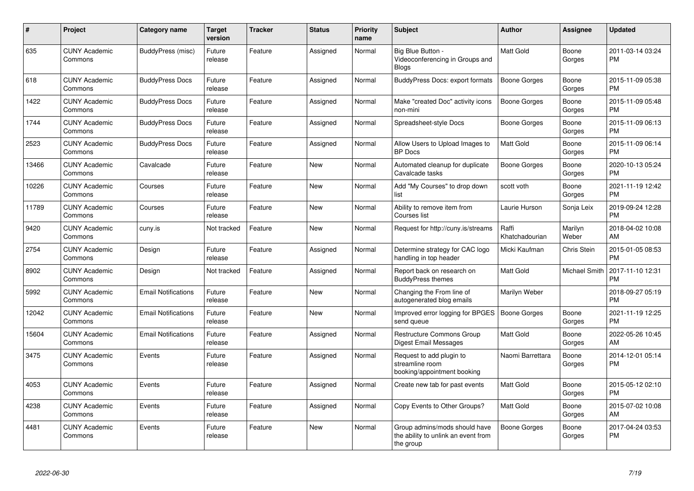| #     | Project                         | <b>Category name</b>       | <b>Target</b><br>version | <b>Tracker</b> | <b>Status</b> | <b>Priority</b><br>name | <b>Subject</b>                                                                    | <b>Author</b>           | Assignee             | <b>Updated</b>                |
|-------|---------------------------------|----------------------------|--------------------------|----------------|---------------|-------------------------|-----------------------------------------------------------------------------------|-------------------------|----------------------|-------------------------------|
| 635   | <b>CUNY Academic</b><br>Commons | BuddyPress (misc)          | Future<br>release        | Feature        | Assigned      | Normal                  | Big Blue Button -<br>Videoconferencing in Groups and<br><b>Blogs</b>              | <b>Matt Gold</b>        | Boone<br>Gorges      | 2011-03-14 03:24<br><b>PM</b> |
| 618   | <b>CUNY Academic</b><br>Commons | <b>BuddyPress Docs</b>     | Future<br>release        | Feature        | Assigned      | Normal                  | BuddyPress Docs: export formats                                                   | Boone Gorges            | Boone<br>Gorges      | 2015-11-09 05:38<br><b>PM</b> |
| 1422  | <b>CUNY Academic</b><br>Commons | <b>BuddyPress Docs</b>     | Future<br>release        | Feature        | Assigned      | Normal                  | Make "created Doc" activity icons<br>non-mini                                     | Boone Gorges            | Boone<br>Gorges      | 2015-11-09 05:48<br><b>PM</b> |
| 1744  | <b>CUNY Academic</b><br>Commons | <b>BuddyPress Docs</b>     | Future<br>release        | Feature        | Assigned      | Normal                  | Spreadsheet-style Docs                                                            | Boone Gorges            | Boone<br>Gorges      | 2015-11-09 06:13<br><b>PM</b> |
| 2523  | <b>CUNY Academic</b><br>Commons | <b>BuddyPress Docs</b>     | Future<br>release        | Feature        | Assigned      | Normal                  | Allow Users to Upload Images to<br><b>BP</b> Docs                                 | Matt Gold               | Boone<br>Gorges      | 2015-11-09 06:14<br><b>PM</b> |
| 13466 | <b>CUNY Academic</b><br>Commons | Cavalcade                  | Future<br>release        | Feature        | <b>New</b>    | Normal                  | Automated cleanup for duplicate<br>Cavalcade tasks                                | Boone Gorges            | Boone<br>Gorges      | 2020-10-13 05:24<br><b>PM</b> |
| 10226 | <b>CUNY Academic</b><br>Commons | Courses                    | Future<br>release        | Feature        | <b>New</b>    | Normal                  | Add "My Courses" to drop down<br>list                                             | scott voth              | Boone<br>Gorges      | 2021-11-19 12:42<br><b>PM</b> |
| 11789 | <b>CUNY Academic</b><br>Commons | Courses                    | Future<br>release        | Feature        | <b>New</b>    | Normal                  | Ability to remove item from<br>Courses list                                       | Laurie Hurson           | Sonja Leix           | 2019-09-24 12:28<br><b>PM</b> |
| 9420  | <b>CUNY Academic</b><br>Commons | cuny.is                    | Not tracked              | Feature        | New           | Normal                  | Request for http://cuny.is/streams                                                | Raffi<br>Khatchadourian | Marilyn<br>Weber     | 2018-04-02 10:08<br>AM        |
| 2754  | <b>CUNY Academic</b><br>Commons | Design                     | Future<br>release        | Feature        | Assigned      | Normal                  | Determine strategy for CAC logo<br>handling in top header                         | Micki Kaufman           | Chris Stein          | 2015-01-05 08:53<br><b>PM</b> |
| 8902  | <b>CUNY Academic</b><br>Commons | Design                     | Not tracked              | Feature        | Assigned      | Normal                  | Report back on research on<br><b>BuddyPress themes</b>                            | Matt Gold               | <b>Michael Smith</b> | 2017-11-10 12:31<br><b>PM</b> |
| 5992  | <b>CUNY Academic</b><br>Commons | <b>Email Notifications</b> | Future<br>release        | Feature        | <b>New</b>    | Normal                  | Changing the From line of<br>autogenerated blog emails                            | Marilyn Weber           |                      | 2018-09-27 05:19<br><b>PM</b> |
| 12042 | <b>CUNY Academic</b><br>Commons | <b>Email Notifications</b> | Future<br>release        | Feature        | <b>New</b>    | Normal                  | Improved error logging for BPGES<br>send queue                                    | Boone Gorges            | Boone<br>Gorges      | 2021-11-19 12:25<br><b>PM</b> |
| 15604 | <b>CUNY Academic</b><br>Commons | <b>Email Notifications</b> | Future<br>release        | Feature        | Assigned      | Normal                  | Restructure Commons Group<br>Digest Email Messages                                | Matt Gold               | Boone<br>Gorges      | 2022-05-26 10:45<br>AM        |
| 3475  | <b>CUNY Academic</b><br>Commons | Events                     | Future<br>release        | Feature        | Assigned      | Normal                  | Request to add plugin to<br>streamline room<br>booking/appointment booking        | Naomi Barrettara        | Boone<br>Gorges      | 2014-12-01 05:14<br><b>PM</b> |
| 4053  | <b>CUNY Academic</b><br>Commons | Events                     | Future<br>release        | Feature        | Assigned      | Normal                  | Create new tab for past events                                                    | Matt Gold               | Boone<br>Gorges      | 2015-05-12 02:10<br><b>PM</b> |
| 4238  | <b>CUNY Academic</b><br>Commons | Events                     | Future<br>release        | Feature        | Assigned      | Normal                  | Copy Events to Other Groups?                                                      | <b>Matt Gold</b>        | Boone<br>Gorges      | 2015-07-02 10:08<br>AM        |
| 4481  | <b>CUNY Academic</b><br>Commons | Events                     | Future<br>release        | Feature        | New           | Normal                  | Group admins/mods should have<br>the ability to unlink an event from<br>the group | Boone Gorges            | Boone<br>Gorges      | 2017-04-24 03:53<br><b>PM</b> |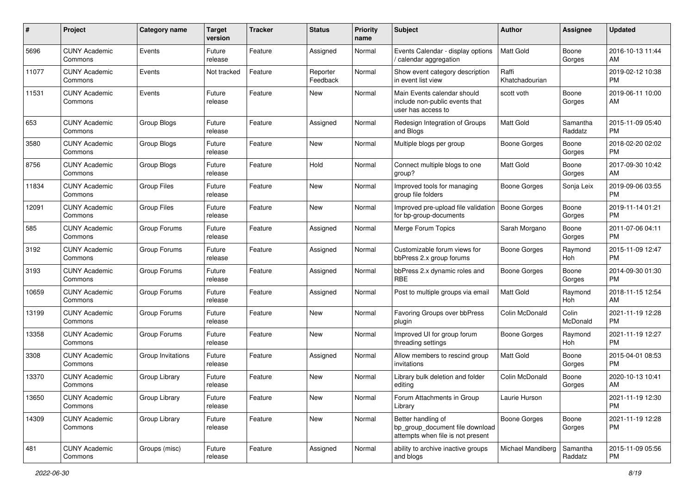| #     | Project                         | <b>Category name</b> | <b>Target</b><br>version | <b>Tracker</b> | <b>Status</b>        | Priority<br>name | <b>Subject</b>                                                                             | <b>Author</b>           | <b>Assignee</b>     | <b>Updated</b>                |
|-------|---------------------------------|----------------------|--------------------------|----------------|----------------------|------------------|--------------------------------------------------------------------------------------------|-------------------------|---------------------|-------------------------------|
| 5696  | <b>CUNY Academic</b><br>Commons | Events               | Future<br>release        | Feature        | Assigned             | Normal           | Events Calendar - display options<br>/ calendar aggregation                                | <b>Matt Gold</b>        | Boone<br>Gorges     | 2016-10-13 11:44<br>AM.       |
| 11077 | <b>CUNY Academic</b><br>Commons | Events               | Not tracked              | Feature        | Reporter<br>Feedback | Normal           | Show event category description<br>in event list view                                      | Raffi<br>Khatchadourian |                     | 2019-02-12 10:38<br><b>PM</b> |
| 11531 | <b>CUNY Academic</b><br>Commons | Events               | Future<br>release        | Feature        | New                  | Normal           | Main Events calendar should<br>include non-public events that<br>user has access to        | scott voth              | Boone<br>Gorges     | 2019-06-11 10:00<br>AM        |
| 653   | <b>CUNY Academic</b><br>Commons | Group Blogs          | Future<br>release        | Feature        | Assigned             | Normal           | Redesign Integration of Groups<br>and Blogs                                                | Matt Gold               | Samantha<br>Raddatz | 2015-11-09 05:40<br><b>PM</b> |
| 3580  | <b>CUNY Academic</b><br>Commons | Group Blogs          | Future<br>release        | Feature        | New                  | Normal           | Multiple blogs per group                                                                   | Boone Gorges            | Boone<br>Gorges     | 2018-02-20 02:02<br><b>PM</b> |
| 8756  | <b>CUNY Academic</b><br>Commons | Group Blogs          | Future<br>release        | Feature        | Hold                 | Normal           | Connect multiple blogs to one<br>group?                                                    | <b>Matt Gold</b>        | Boone<br>Gorges     | 2017-09-30 10:42<br>AM        |
| 11834 | <b>CUNY Academic</b><br>Commons | <b>Group Files</b>   | Future<br>release        | Feature        | New                  | Normal           | Improved tools for managing<br>group file folders                                          | Boone Gorges            | Sonja Leix          | 2019-09-06 03:55<br><b>PM</b> |
| 12091 | <b>CUNY Academic</b><br>Commons | <b>Group Files</b>   | Future<br>release        | Feature        | New                  | Normal           | Improved pre-upload file validation<br>for bp-group-documents                              | Boone Gorges            | Boone<br>Gorges     | 2019-11-14 01:21<br><b>PM</b> |
| 585   | <b>CUNY Academic</b><br>Commons | Group Forums         | Future<br>release        | Feature        | Assigned             | Normal           | Merge Forum Topics                                                                         | Sarah Morgano           | Boone<br>Gorges     | 2011-07-06 04:11<br>PM.       |
| 3192  | <b>CUNY Academic</b><br>Commons | Group Forums         | Future<br>release        | Feature        | Assigned             | Normal           | Customizable forum views for<br>bbPress 2.x group forums                                   | Boone Gorges            | Raymond<br>Hoh      | 2015-11-09 12:47<br><b>PM</b> |
| 3193  | <b>CUNY Academic</b><br>Commons | Group Forums         | Future<br>release        | Feature        | Assigned             | Normal           | bbPress 2.x dynamic roles and<br><b>RBE</b>                                                | Boone Gorges            | Boone<br>Gorges     | 2014-09-30 01:30<br><b>PM</b> |
| 10659 | <b>CUNY Academic</b><br>Commons | Group Forums         | Future<br>release        | Feature        | Assigned             | Normal           | Post to multiple groups via email                                                          | Matt Gold               | Raymond<br>Hoh      | 2018-11-15 12:54<br>AM        |
| 13199 | <b>CUNY Academic</b><br>Commons | Group Forums         | Future<br>release        | Feature        | <b>New</b>           | Normal           | Favoring Groups over bbPress<br>plugin                                                     | Colin McDonald          | Colin<br>McDonald   | 2021-11-19 12:28<br><b>PM</b> |
| 13358 | <b>CUNY Academic</b><br>Commons | Group Forums         | Future<br>release        | Feature        | New                  | Normal           | Improved UI for group forum<br>threading settings                                          | Boone Gorges            | Raymond<br>Hoh      | 2021-11-19 12:27<br><b>PM</b> |
| 3308  | <b>CUNY Academic</b><br>Commons | Group Invitations    | Future<br>release        | Feature        | Assigned             | Normal           | Allow members to rescind group<br>invitations                                              | <b>Matt Gold</b>        | Boone<br>Gorges     | 2015-04-01 08:53<br><b>PM</b> |
| 13370 | <b>CUNY Academic</b><br>Commons | Group Library        | Future<br>release        | Feature        | New                  | Normal           | Library bulk deletion and folder<br>editing                                                | Colin McDonald          | Boone<br>Gorges     | 2020-10-13 10:41<br>AM        |
| 13650 | <b>CUNY Academic</b><br>Commons | Group Library        | Future<br>release        | Feature        | New                  | Normal           | Forum Attachments in Group<br>Library                                                      | Laurie Hurson           |                     | 2021-11-19 12:30<br>PM        |
| 14309 | <b>CUNY Academic</b><br>Commons | Group Library        | Future<br>release        | Feature        | New                  | Normal           | Better handling of<br>bp_group_document file download<br>attempts when file is not present | <b>Boone Gorges</b>     | Boone<br>Gorges     | 2021-11-19 12:28<br><b>PM</b> |
| 481   | <b>CUNY Academic</b><br>Commons | Groups (misc)        | Future<br>release        | Feature        | Assigned             | Normal           | ability to archive inactive groups<br>and blogs                                            | Michael Mandiberg       | Samantha<br>Raddatz | 2015-11-09 05:56<br><b>PM</b> |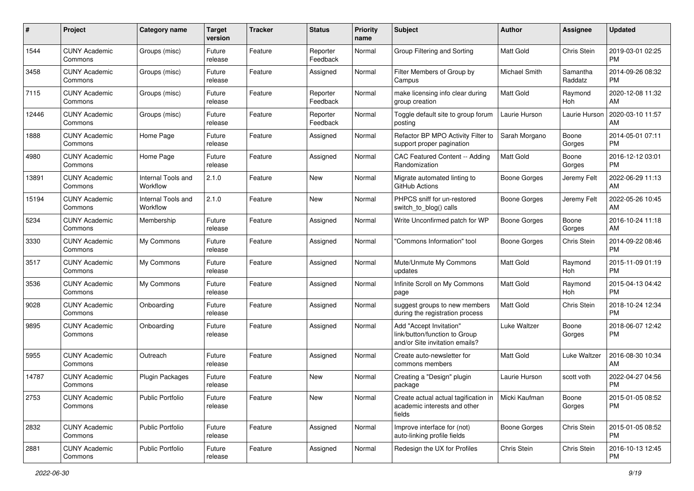| #     | Project                         | <b>Category name</b>           | <b>Target</b><br>version | <b>Tracker</b> | <b>Status</b>        | Priority<br>name | <b>Subject</b>                                                                             | Author              | <b>Assignee</b>     | <b>Updated</b>                |
|-------|---------------------------------|--------------------------------|--------------------------|----------------|----------------------|------------------|--------------------------------------------------------------------------------------------|---------------------|---------------------|-------------------------------|
| 1544  | <b>CUNY Academic</b><br>Commons | Groups (misc)                  | Future<br>release        | Feature        | Reporter<br>Feedback | Normal           | Group Filtering and Sorting                                                                | <b>Matt Gold</b>    | Chris Stein         | 2019-03-01 02:25<br><b>PM</b> |
| 3458  | <b>CUNY Academic</b><br>Commons | Groups (misc)                  | Future<br>release        | Feature        | Assigned             | Normal           | Filter Members of Group by<br>Campus                                                       | Michael Smith       | Samantha<br>Raddatz | 2014-09-26 08:32<br><b>PM</b> |
| 7115  | <b>CUNY Academic</b><br>Commons | Groups (misc)                  | Future<br>release        | Feature        | Reporter<br>Feedback | Normal           | make licensing info clear during<br>group creation                                         | Matt Gold           | Raymond<br>Hoh      | 2020-12-08 11:32<br>AM        |
| 12446 | <b>CUNY Academic</b><br>Commons | Groups (misc)                  | Future<br>release        | Feature        | Reporter<br>Feedback | Normal           | Toggle default site to group forum<br>posting                                              | Laurie Hurson       | Laurie Hurson       | 2020-03-10 11:57<br>AM        |
| 1888  | <b>CUNY Academic</b><br>Commons | Home Page                      | Future<br>release        | Feature        | Assigned             | Normal           | Refactor BP MPO Activity Filter to<br>support proper pagination                            | Sarah Morgano       | Boone<br>Gorges     | 2014-05-01 07:11<br><b>PM</b> |
| 4980  | <b>CUNY Academic</b><br>Commons | Home Page                      | Future<br>release        | Feature        | Assigned             | Normal           | CAC Featured Content -- Adding<br>Randomization                                            | <b>Matt Gold</b>    | Boone<br>Gorges     | 2016-12-12 03:01<br><b>PM</b> |
| 13891 | <b>CUNY Academic</b><br>Commons | Internal Tools and<br>Workflow | 2.1.0                    | Feature        | New                  | Normal           | Migrate automated linting to<br>GitHub Actions                                             | Boone Gorges        | Jeremy Felt         | 2022-06-29 11:13<br>AM        |
| 15194 | <b>CUNY Academic</b><br>Commons | Internal Tools and<br>Workflow | 2.1.0                    | Feature        | New                  | Normal           | PHPCS sniff for un-restored<br>switch_to_blog() calls                                      | <b>Boone Gorges</b> | Jeremy Felt         | 2022-05-26 10:45<br>AM        |
| 5234  | <b>CUNY Academic</b><br>Commons | Membership                     | Future<br>release        | Feature        | Assigned             | Normal           | Write Unconfirmed patch for WP                                                             | <b>Boone Gorges</b> | Boone<br>Gorges     | 2016-10-24 11:18<br>AM        |
| 3330  | <b>CUNY Academic</b><br>Commons | My Commons                     | Future<br>release        | Feature        | Assigned             | Normal           | "Commons Information" tool                                                                 | Boone Gorges        | Chris Stein         | 2014-09-22 08:46<br><b>PM</b> |
| 3517  | <b>CUNY Academic</b><br>Commons | My Commons                     | Future<br>release        | Feature        | Assigned             | Normal           | Mute/Unmute My Commons<br>updates                                                          | <b>Matt Gold</b>    | Raymond<br>Hoh      | 2015-11-09 01:19<br><b>PM</b> |
| 3536  | <b>CUNY Academic</b><br>Commons | My Commons                     | Future<br>release        | Feature        | Assigned             | Normal           | Infinite Scroll on My Commons<br>page                                                      | <b>Matt Gold</b>    | Raymond<br>Hoh      | 2015-04-13 04:42<br><b>PM</b> |
| 9028  | <b>CUNY Academic</b><br>Commons | Onboarding                     | Future<br>release        | Feature        | Assigned             | Normal           | suggest groups to new members<br>during the registration process                           | <b>Matt Gold</b>    | Chris Stein         | 2018-10-24 12:34<br><b>PM</b> |
| 9895  | <b>CUNY Academic</b><br>Commons | Onboarding                     | Future<br>release        | Feature        | Assigned             | Normal           | Add "Accept Invitation"<br>link/button/function to Group<br>and/or Site invitation emails? | Luke Waltzer        | Boone<br>Gorges     | 2018-06-07 12:42<br><b>PM</b> |
| 5955  | <b>CUNY Academic</b><br>Commons | Outreach                       | Future<br>release        | Feature        | Assigned             | Normal           | Create auto-newsletter for<br>commons members                                              | Matt Gold           | Luke Waltzer        | 2016-08-30 10:34<br>AM        |
| 14787 | <b>CUNY Academic</b><br>Commons | <b>Plugin Packages</b>         | Future<br>release        | Feature        | New                  | Normal           | Creating a "Design" plugin<br>package                                                      | Laurie Hurson       | scott voth          | 2022-04-27 04:56<br><b>PM</b> |
| 2753  | <b>CUNY Academic</b><br>Commons | <b>Public Portfolio</b>        | Future<br>release        | Feature        | New                  | Normal           | Create actual actual tagification in<br>academic interests and other<br>fields             | Micki Kaufman       | Boone<br>Gorges     | 2015-01-05 08:52<br><b>PM</b> |
| 2832  | <b>CUNY Academic</b><br>Commons | Public Portfolio               | Future<br>release        | Feature        | Assigned             | Normal           | Improve interface for (not)<br>auto-linking profile fields                                 | <b>Boone Gorges</b> | Chris Stein         | 2015-01-05 08:52<br><b>PM</b> |
| 2881  | <b>CUNY Academic</b><br>Commons | Public Portfolio               | Future<br>release        | Feature        | Assigned             | Normal           | Redesign the UX for Profiles                                                               | Chris Stein         | Chris Stein         | 2016-10-13 12:45<br><b>PM</b> |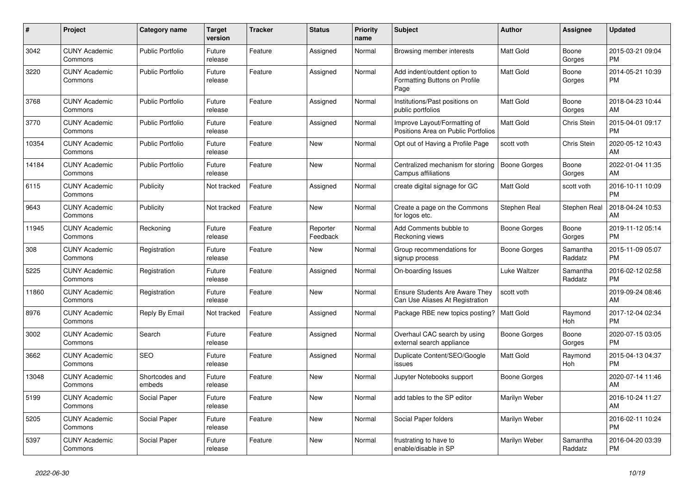| $\#$  | Project                         | <b>Category name</b>     | <b>Target</b><br>version | <b>Tracker</b> | <b>Status</b>        | <b>Priority</b><br>name | <b>Subject</b>                                                           | <b>Author</b>    | <b>Assignee</b>     | <b>Updated</b>                |
|-------|---------------------------------|--------------------------|--------------------------|----------------|----------------------|-------------------------|--------------------------------------------------------------------------|------------------|---------------------|-------------------------------|
| 3042  | <b>CUNY Academic</b><br>Commons | <b>Public Portfolio</b>  | Future<br>release        | Feature        | Assigned             | Normal                  | Browsing member interests                                                | Matt Gold        | Boone<br>Gorges     | 2015-03-21 09:04<br><b>PM</b> |
| 3220  | <b>CUNY Academic</b><br>Commons | <b>Public Portfolio</b>  | Future<br>release        | Feature        | Assigned             | Normal                  | Add indent/outdent option to<br>Formatting Buttons on Profile<br>Page    | <b>Matt Gold</b> | Boone<br>Gorges     | 2014-05-21 10:39<br><b>PM</b> |
| 3768  | <b>CUNY Academic</b><br>Commons | <b>Public Portfolio</b>  | Future<br>release        | Feature        | Assigned             | Normal                  | Institutions/Past positions on<br>public portfolios                      | <b>Matt Gold</b> | Boone<br>Gorges     | 2018-04-23 10:44<br>AM        |
| 3770  | <b>CUNY Academic</b><br>Commons | <b>Public Portfolio</b>  | Future<br>release        | Feature        | Assigned             | Normal                  | Improve Layout/Formatting of<br>Positions Area on Public Portfolios      | <b>Matt Gold</b> | Chris Stein         | 2015-04-01 09:17<br><b>PM</b> |
| 10354 | <b>CUNY Academic</b><br>Commons | <b>Public Portfolio</b>  | Future<br>release        | Feature        | <b>New</b>           | Normal                  | Opt out of Having a Profile Page                                         | scott voth       | Chris Stein         | 2020-05-12 10:43<br>AM        |
| 14184 | <b>CUNY Academic</b><br>Commons | <b>Public Portfolio</b>  | Future<br>release        | Feature        | New                  | Normal                  | Centralized mechanism for storing<br>Campus affiliations                 | Boone Gorges     | Boone<br>Gorges     | 2022-01-04 11:35<br>AM        |
| 6115  | <b>CUNY Academic</b><br>Commons | Publicity                | Not tracked              | Feature        | Assigned             | Normal                  | create digital signage for GC                                            | Matt Gold        | scott voth          | 2016-10-11 10:09<br><b>PM</b> |
| 9643  | <b>CUNY Academic</b><br>Commons | Publicity                | Not tracked              | Feature        | <b>New</b>           | Normal                  | Create a page on the Commons<br>for logos etc.                           | Stephen Real     | Stephen Real        | 2018-04-24 10:53<br>AM        |
| 11945 | <b>CUNY Academic</b><br>Commons | Reckoning                | Future<br>release        | Feature        | Reporter<br>Feedback | Normal                  | Add Comments bubble to<br>Reckoning views                                | Boone Gorges     | Boone<br>Gorges     | 2019-11-12 05:14<br><b>PM</b> |
| 308   | <b>CUNY Academic</b><br>Commons | Registration             | Future<br>release        | Feature        | New                  | Normal                  | Group recommendations for<br>signup process                              | Boone Gorges     | Samantha<br>Raddatz | 2015-11-09 05:07<br><b>PM</b> |
| 5225  | <b>CUNY Academic</b><br>Commons | Registration             | Future<br>release        | Feature        | Assigned             | Normal                  | On-boarding Issues                                                       | Luke Waltzer     | Samantha<br>Raddatz | 2016-02-12 02:58<br><b>PM</b> |
| 11860 | <b>CUNY Academic</b><br>Commons | Registration             | Future<br>release        | Feature        | <b>New</b>           | Normal                  | <b>Ensure Students Are Aware They</b><br>Can Use Aliases At Registration | scott voth       |                     | 2019-09-24 08:46<br>AM        |
| 8976  | <b>CUNY Academic</b><br>Commons | Reply By Email           | Not tracked              | Feature        | Assigned             | Normal                  | Package RBE new topics posting?                                          | <b>Matt Gold</b> | Raymond<br>Hoh      | 2017-12-04 02:34<br><b>PM</b> |
| 3002  | <b>CUNY Academic</b><br>Commons | Search                   | Future<br>release        | Feature        | Assigned             | Normal                  | Overhaul CAC search by using<br>external search appliance                | Boone Gorges     | Boone<br>Gorges     | 2020-07-15 03:05<br><b>PM</b> |
| 3662  | <b>CUNY Academic</b><br>Commons | <b>SEO</b>               | Future<br>release        | Feature        | Assigned             | Normal                  | Duplicate Content/SEO/Google<br>issues                                   | Matt Gold        | Raymond<br>Hoh      | 2015-04-13 04:37<br><b>PM</b> |
| 13048 | <b>CUNY Academic</b><br>Commons | Shortcodes and<br>embeds | Future<br>release        | Feature        | <b>New</b>           | Normal                  | Jupyter Notebooks support                                                | Boone Gorges     |                     | 2020-07-14 11:46<br>AM        |
| 5199  | <b>CUNY Academic</b><br>Commons | Social Paper             | Future<br>release        | Feature        | New                  | Normal                  | add tables to the SP editor                                              | Marilyn Weber    |                     | 2016-10-24 11:27<br>AM        |
| 5205  | <b>CUNY Academic</b><br>Commons | Social Paper             | Future<br>release        | Feature        | New                  | Normal                  | Social Paper folders                                                     | Marilyn Weber    |                     | 2016-02-11 10:24<br><b>PM</b> |
| 5397  | <b>CUNY Academic</b><br>Commons | Social Paper             | Future<br>release        | Feature        | <b>New</b>           | Normal                  | frustrating to have to<br>enable/disable in SP                           | Marilyn Weber    | Samantha<br>Raddatz | 2016-04-20 03:39<br><b>PM</b> |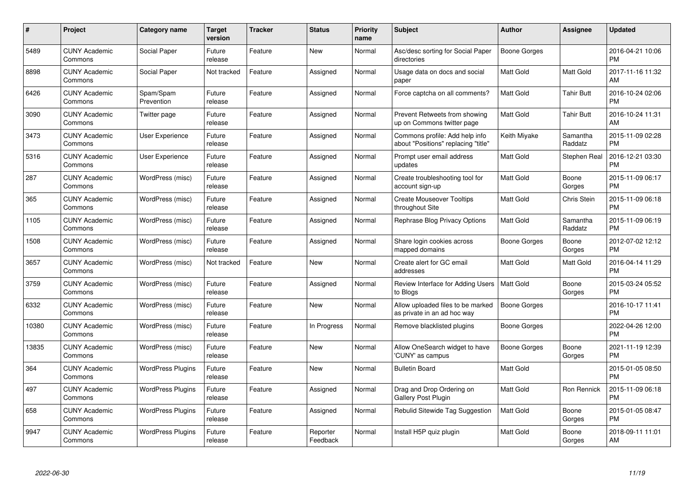| $\#$  | Project                         | <b>Category name</b>     | <b>Target</b><br>version | <b>Tracker</b> | <b>Status</b>        | Priority<br>name | <b>Subject</b>                                                        | <b>Author</b>    | <b>Assignee</b>     | <b>Updated</b>                |
|-------|---------------------------------|--------------------------|--------------------------|----------------|----------------------|------------------|-----------------------------------------------------------------------|------------------|---------------------|-------------------------------|
| 5489  | <b>CUNY Academic</b><br>Commons | Social Paper             | Future<br>release        | Feature        | <b>New</b>           | Normal           | Asc/desc sorting for Social Paper<br>directories                      | Boone Gorges     |                     | 2016-04-21 10:06<br><b>PM</b> |
| 8898  | <b>CUNY Academic</b><br>Commons | Social Paper             | Not tracked              | Feature        | Assigned             | Normal           | Usage data on docs and social<br>paper                                | <b>Matt Gold</b> | Matt Gold           | 2017-11-16 11:32<br>AM        |
| 6426  | <b>CUNY Academic</b><br>Commons | Spam/Spam<br>Prevention  | Future<br>release        | Feature        | Assigned             | Normal           | Force captcha on all comments?                                        | Matt Gold        | <b>Tahir Butt</b>   | 2016-10-24 02:06<br><b>PM</b> |
| 3090  | <b>CUNY Academic</b><br>Commons | Twitter page             | Future<br>release        | Feature        | Assigned             | Normal           | Prevent Retweets from showing<br>up on Commons twitter page           | <b>Matt Gold</b> | <b>Tahir Butt</b>   | 2016-10-24 11:31<br>AM        |
| 3473  | <b>CUNY Academic</b><br>Commons | <b>User Experience</b>   | Future<br>release        | Feature        | Assigned             | Normal           | Commons profile: Add help info<br>about "Positions" replacing "title" | Keith Miyake     | Samantha<br>Raddatz | 2015-11-09 02:28<br><b>PM</b> |
| 5316  | <b>CUNY Academic</b><br>Commons | <b>User Experience</b>   | Future<br>release        | Feature        | Assigned             | Normal           | Prompt user email address<br>updates                                  | Matt Gold        | Stephen Real        | 2016-12-21 03:30<br><b>PM</b> |
| 287   | <b>CUNY Academic</b><br>Commons | WordPress (misc)         | Future<br>release        | Feature        | Assigned             | Normal           | Create troubleshooting tool for<br>account sign-up                    | Matt Gold        | Boone<br>Gorges     | 2015-11-09 06:17<br><b>PM</b> |
| 365   | <b>CUNY Academic</b><br>Commons | WordPress (misc)         | Future<br>release        | Feature        | Assigned             | Normal           | <b>Create Mouseover Tooltips</b><br>throughout Site                   | <b>Matt Gold</b> | Chris Stein         | 2015-11-09 06:18<br><b>PM</b> |
| 1105  | <b>CUNY Academic</b><br>Commons | WordPress (misc)         | Future<br>release        | Feature        | Assigned             | Normal           | Rephrase Blog Privacy Options                                         | <b>Matt Gold</b> | Samantha<br>Raddatz | 2015-11-09 06:19<br><b>PM</b> |
| 1508  | <b>CUNY Academic</b><br>Commons | WordPress (misc)         | Future<br>release        | Feature        | Assigned             | Normal           | Share login cookies across<br>mapped domains                          | Boone Gorges     | Boone<br>Gorges     | 2012-07-02 12:12<br><b>PM</b> |
| 3657  | <b>CUNY Academic</b><br>Commons | WordPress (misc)         | Not tracked              | Feature        | New                  | Normal           | Create alert for GC email<br>addresses                                | Matt Gold        | Matt Gold           | 2016-04-14 11:29<br><b>PM</b> |
| 3759  | <b>CUNY Academic</b><br>Commons | WordPress (misc)         | Future<br>release        | Feature        | Assigned             | Normal           | Review Interface for Adding Users<br>to Blogs                         | <b>Matt Gold</b> | Boone<br>Gorges     | 2015-03-24 05:52<br><b>PM</b> |
| 6332  | <b>CUNY Academic</b><br>Commons | WordPress (misc)         | Future<br>release        | Feature        | New                  | Normal           | Allow uploaded files to be marked<br>as private in an ad hoc way      | Boone Gorges     |                     | 2016-10-17 11:41<br><b>PM</b> |
| 10380 | <b>CUNY Academic</b><br>Commons | WordPress (misc)         | Future<br>release        | Feature        | In Progress          | Normal           | Remove blacklisted plugins                                            | Boone Gorges     |                     | 2022-04-26 12:00<br><b>PM</b> |
| 13835 | <b>CUNY Academic</b><br>Commons | WordPress (misc)         | Future<br>release        | Feature        | New                  | Normal           | Allow OneSearch widget to have<br>'CUNY' as campus                    | Boone Gorges     | Boone<br>Gorges     | 2021-11-19 12:39<br><b>PM</b> |
| 364   | <b>CUNY Academic</b><br>Commons | <b>WordPress Plugins</b> | Future<br>release        | Feature        | New                  | Normal           | <b>Bulletin Board</b>                                                 | Matt Gold        |                     | 2015-01-05 08:50<br><b>PM</b> |
| 497   | <b>CUNY Academic</b><br>Commons | <b>WordPress Plugins</b> | Future<br>release        | Feature        | Assigned             | Normal           | Drag and Drop Ordering on<br>Gallery Post Plugin                      | <b>Matt Gold</b> | Ron Rennick         | 2015-11-09 06:18<br><b>PM</b> |
| 658   | <b>CUNY Academic</b><br>Commons | <b>WordPress Plugins</b> | Future<br>release        | Feature        | Assigned             | Normal           | Rebulid Sitewide Tag Suggestion                                       | <b>Matt Gold</b> | Boone<br>Gorges     | 2015-01-05 08:47<br><b>PM</b> |
| 9947  | CUNY Academic<br>Commons        | <b>WordPress Plugins</b> | Future<br>release        | Feature        | Reporter<br>Feedback | Normal           | Install H5P quiz plugin                                               | <b>Matt Gold</b> | Boone<br>Gorges     | 2018-09-11 11:01<br>AM        |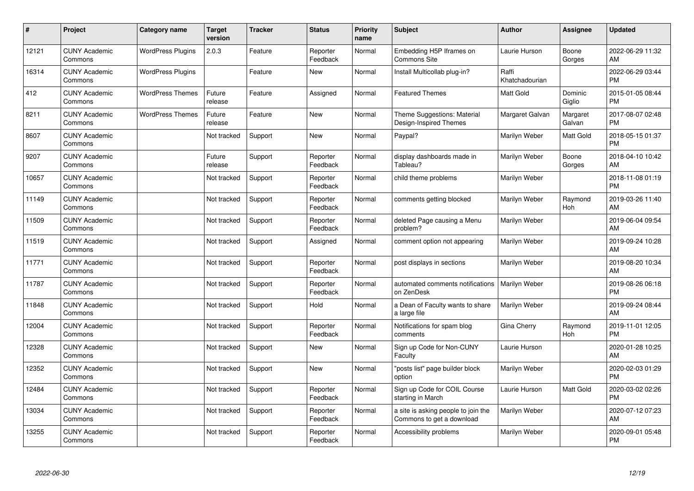| #     | Project                         | <b>Category name</b>     | <b>Target</b><br>version | <b>Tracker</b> | <b>Status</b>        | <b>Priority</b><br>name | <b>Subject</b>                                                   | <b>Author</b>           | <b>Assignee</b>    | <b>Updated</b>                |
|-------|---------------------------------|--------------------------|--------------------------|----------------|----------------------|-------------------------|------------------------------------------------------------------|-------------------------|--------------------|-------------------------------|
| 12121 | <b>CUNY Academic</b><br>Commons | <b>WordPress Plugins</b> | 2.0.3                    | Feature        | Reporter<br>Feedback | Normal                  | Embedding H5P Iframes on<br><b>Commons Site</b>                  | Laurie Hurson           | Boone<br>Gorges    | 2022-06-29 11:32<br>AM        |
| 16314 | <b>CUNY Academic</b><br>Commons | <b>WordPress Plugins</b> |                          | Feature        | New                  | Normal                  | Install Multicollab plug-in?                                     | Raffi<br>Khatchadourian |                    | 2022-06-29 03:44<br><b>PM</b> |
| 412   | <b>CUNY Academic</b><br>Commons | <b>WordPress Themes</b>  | Future<br>release        | Feature        | Assigned             | Normal                  | <b>Featured Themes</b>                                           | Matt Gold               | Dominic<br>Giglio  | 2015-01-05 08:44<br><b>PM</b> |
| 8211  | <b>CUNY Academic</b><br>Commons | <b>WordPress Themes</b>  | Future<br>release        | Feature        | <b>New</b>           | Normal                  | Theme Suggestions: Material<br>Design-Inspired Themes            | Margaret Galvan         | Margaret<br>Galvan | 2017-08-07 02:48<br><b>PM</b> |
| 8607  | <b>CUNY Academic</b><br>Commons |                          | Not tracked              | Support        | <b>New</b>           | Normal                  | Paypal?                                                          | Marilyn Weber           | Matt Gold          | 2018-05-15 01:37<br><b>PM</b> |
| 9207  | <b>CUNY Academic</b><br>Commons |                          | Future<br>release        | Support        | Reporter<br>Feedback | Normal                  | display dashboards made in<br>Tableau?                           | Marilyn Weber           | Boone<br>Gorges    | 2018-04-10 10:42<br>AM        |
| 10657 | <b>CUNY Academic</b><br>Commons |                          | Not tracked              | Support        | Reporter<br>Feedback | Normal                  | child theme problems                                             | Marilyn Weber           |                    | 2018-11-08 01:19<br><b>PM</b> |
| 11149 | <b>CUNY Academic</b><br>Commons |                          | Not tracked              | Support        | Reporter<br>Feedback | Normal                  | comments getting blocked                                         | Marilyn Weber           | Raymond<br>Hoh     | 2019-03-26 11:40<br>AM        |
| 11509 | <b>CUNY Academic</b><br>Commons |                          | Not tracked              | Support        | Reporter<br>Feedback | Normal                  | deleted Page causing a Menu<br>problem?                          | Marilyn Weber           |                    | 2019-06-04 09:54<br>AM        |
| 11519 | <b>CUNY Academic</b><br>Commons |                          | Not tracked              | Support        | Assigned             | Normal                  | comment option not appearing                                     | Marilyn Weber           |                    | 2019-09-24 10:28<br>AM        |
| 11771 | <b>CUNY Academic</b><br>Commons |                          | Not tracked              | Support        | Reporter<br>Feedback | Normal                  | post displays in sections                                        | Marilyn Weber           |                    | 2019-08-20 10:34<br>AM        |
| 11787 | <b>CUNY Academic</b><br>Commons |                          | Not tracked              | Support        | Reporter<br>Feedback | Normal                  | automated comments notifications<br>on ZenDesk                   | Marilyn Weber           |                    | 2019-08-26 06:18<br><b>PM</b> |
| 11848 | <b>CUNY Academic</b><br>Commons |                          | Not tracked              | Support        | Hold                 | Normal                  | a Dean of Faculty wants to share<br>a large file                 | Marilyn Weber           |                    | 2019-09-24 08:44<br>AM        |
| 12004 | <b>CUNY Academic</b><br>Commons |                          | Not tracked              | Support        | Reporter<br>Feedback | Normal                  | Notifications for spam blog<br>comments                          | Gina Cherry             | Raymond<br>Hoh     | 2019-11-01 12:05<br><b>PM</b> |
| 12328 | <b>CUNY Academic</b><br>Commons |                          | Not tracked              | Support        | New                  | Normal                  | Sign up Code for Non-CUNY<br>Faculty                             | Laurie Hurson           |                    | 2020-01-28 10:25<br>AM        |
| 12352 | <b>CUNY Academic</b><br>Commons |                          | Not tracked              | Support        | New                  | Normal                  | "posts list" page builder block<br>option                        | Marilyn Weber           |                    | 2020-02-03 01:29<br><b>PM</b> |
| 12484 | <b>CUNY Academic</b><br>Commons |                          | Not tracked              | Support        | Reporter<br>Feedback | Normal                  | Sign up Code for COIL Course<br>starting in March                | Laurie Hurson           | Matt Gold          | 2020-03-02 02:26<br><b>PM</b> |
| 13034 | <b>CUNY Academic</b><br>Commons |                          | Not tracked              | Support        | Reporter<br>Feedback | Normal                  | a site is asking people to join the<br>Commons to get a download | Marilyn Weber           |                    | 2020-07-12 07:23<br>AM        |
| 13255 | <b>CUNY Academic</b><br>Commons |                          | Not tracked              | Support        | Reporter<br>Feedback | Normal                  | Accessibility problems                                           | Marilyn Weber           |                    | 2020-09-01 05:48<br><b>PM</b> |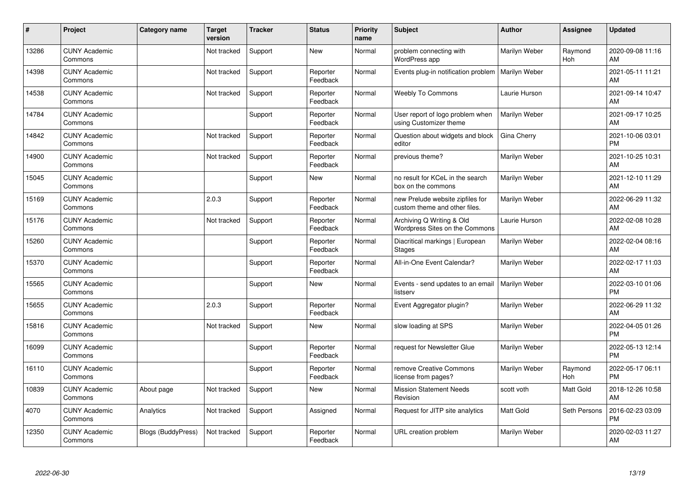| ∦     | Project                         | <b>Category name</b> | <b>Target</b><br>version | <b>Tracker</b> | <b>Status</b>        | <b>Priority</b><br>name | <b>Subject</b>                                                    | <b>Author</b>    | Assignee       | <b>Updated</b>                |
|-------|---------------------------------|----------------------|--------------------------|----------------|----------------------|-------------------------|-------------------------------------------------------------------|------------------|----------------|-------------------------------|
| 13286 | <b>CUNY Academic</b><br>Commons |                      | Not tracked              | Support        | <b>New</b>           | Normal                  | problem connecting with<br>WordPress app                          | Marilyn Weber    | Raymond<br>Hoh | 2020-09-08 11:16<br>AM        |
| 14398 | <b>CUNY Academic</b><br>Commons |                      | Not tracked              | Support        | Reporter<br>Feedback | Normal                  | Events plug-in notification problem                               | Marilyn Weber    |                | 2021-05-11 11:21<br><b>AM</b> |
| 14538 | <b>CUNY Academic</b><br>Commons |                      | Not tracked              | Support        | Reporter<br>Feedback | Normal                  | <b>Weebly To Commons</b>                                          | Laurie Hurson    |                | 2021-09-14 10:47<br>AM        |
| 14784 | <b>CUNY Academic</b><br>Commons |                      |                          | Support        | Reporter<br>Feedback | Normal                  | User report of logo problem when<br>using Customizer theme        | Marilyn Weber    |                | 2021-09-17 10:25<br>AM        |
| 14842 | <b>CUNY Academic</b><br>Commons |                      | Not tracked              | Support        | Reporter<br>Feedback | Normal                  | Question about widgets and block<br>editor                        | Gina Cherry      |                | 2021-10-06 03:01<br><b>PM</b> |
| 14900 | <b>CUNY Academic</b><br>Commons |                      | Not tracked              | Support        | Reporter<br>Feedback | Normal                  | previous theme?                                                   | Marilyn Weber    |                | 2021-10-25 10:31<br><b>AM</b> |
| 15045 | <b>CUNY Academic</b><br>Commons |                      |                          | Support        | <b>New</b>           | Normal                  | no result for KCeL in the search<br>box on the commons            | Marilyn Weber    |                | 2021-12-10 11:29<br>AM        |
| 15169 | <b>CUNY Academic</b><br>Commons |                      | 2.0.3                    | Support        | Reporter<br>Feedback | Normal                  | new Prelude website zipfiles for<br>custom theme and other files. | Marilyn Weber    |                | 2022-06-29 11:32<br>AM        |
| 15176 | <b>CUNY Academic</b><br>Commons |                      | Not tracked              | Support        | Reporter<br>Feedback | Normal                  | Archiving Q Writing & Old<br>Wordpress Sites on the Commons       | Laurie Hurson    |                | 2022-02-08 10:28<br>AM        |
| 15260 | <b>CUNY Academic</b><br>Commons |                      |                          | Support        | Reporter<br>Feedback | Normal                  | Diacritical markings   European<br><b>Stages</b>                  | Marilyn Weber    |                | 2022-02-04 08:16<br>AM        |
| 15370 | <b>CUNY Academic</b><br>Commons |                      |                          | Support        | Reporter<br>Feedback | Normal                  | All-in-One Event Calendar?                                        | Marilyn Weber    |                | 2022-02-17 11:03<br>AM        |
| 15565 | <b>CUNY Academic</b><br>Commons |                      |                          | Support        | <b>New</b>           | Normal                  | Events - send updates to an email<br>listserv                     | Marilyn Weber    |                | 2022-03-10 01:06<br><b>PM</b> |
| 15655 | <b>CUNY Academic</b><br>Commons |                      | 2.0.3                    | Support        | Reporter<br>Feedback | Normal                  | Event Aggregator plugin?                                          | Marilyn Weber    |                | 2022-06-29 11:32<br><b>AM</b> |
| 15816 | <b>CUNY Academic</b><br>Commons |                      | Not tracked              | Support        | <b>New</b>           | Normal                  | slow loading at SPS                                               | Marilyn Weber    |                | 2022-04-05 01:26<br><b>PM</b> |
| 16099 | <b>CUNY Academic</b><br>Commons |                      |                          | Support        | Reporter<br>Feedback | Normal                  | request for Newsletter Glue                                       | Marilyn Weber    |                | 2022-05-13 12:14<br><b>PM</b> |
| 16110 | <b>CUNY Academic</b><br>Commons |                      |                          | Support        | Reporter<br>Feedback | Normal                  | remove Creative Commons<br>license from pages?                    | Marilyn Weber    | Raymond<br>Hoh | 2022-05-17 06:11<br><b>PM</b> |
| 10839 | <b>CUNY Academic</b><br>Commons | About page           | Not tracked              | Support        | New                  | Normal                  | <b>Mission Statement Needs</b><br>Revision                        | scott voth       | Matt Gold      | 2018-12-26 10:58<br>AM        |
| 4070  | <b>CUNY Academic</b><br>Commons | Analytics            | Not tracked              | Support        | Assigned             | Normal                  | Request for JITP site analytics                                   | <b>Matt Gold</b> | Seth Persons   | 2016-02-23 03:09<br><b>PM</b> |
| 12350 | <b>CUNY Academic</b><br>Commons | Blogs (BuddyPress)   | Not tracked              | Support        | Reporter<br>Feedback | Normal                  | URL creation problem                                              | Marilyn Weber    |                | 2020-02-03 11:27<br>AM        |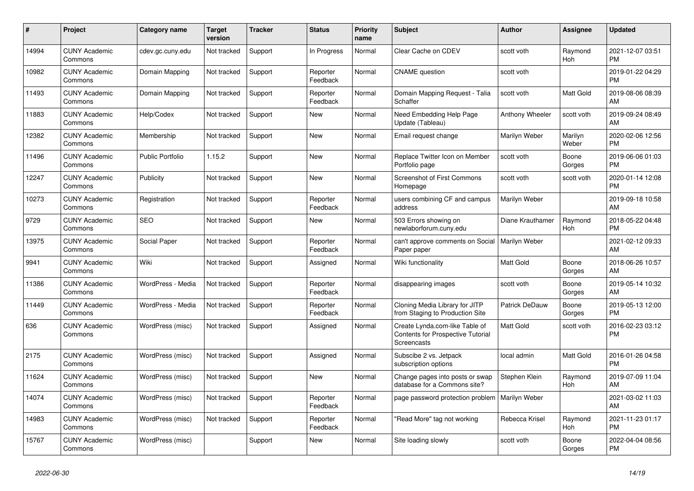| #     | Project                         | <b>Category name</b> | <b>Target</b><br>version | <b>Tracker</b> | <b>Status</b>        | Priority<br>name | <b>Subject</b>                                                                            | <b>Author</b>         | Assignee         | <b>Updated</b>                |
|-------|---------------------------------|----------------------|--------------------------|----------------|----------------------|------------------|-------------------------------------------------------------------------------------------|-----------------------|------------------|-------------------------------|
| 14994 | <b>CUNY Academic</b><br>Commons | cdev.gc.cuny.edu     | Not tracked              | Support        | In Progress          | Normal           | Clear Cache on CDEV                                                                       | scott voth            | Raymond<br>Hoh   | 2021-12-07 03:51<br><b>PM</b> |
| 10982 | <b>CUNY Academic</b><br>Commons | Domain Mapping       | Not tracked              | Support        | Reporter<br>Feedback | Normal           | <b>CNAME</b> question                                                                     | scott voth            |                  | 2019-01-22 04:29<br><b>PM</b> |
| 11493 | <b>CUNY Academic</b><br>Commons | Domain Mapping       | Not tracked              | Support        | Reporter<br>Feedback | Normal           | Domain Mapping Request - Talia<br>Schaffer                                                | scott voth            | Matt Gold        | 2019-08-06 08:39<br>AM        |
| 11883 | <b>CUNY Academic</b><br>Commons | Help/Codex           | Not tracked              | Support        | <b>New</b>           | Normal           | Need Embedding Help Page<br>Update (Tableau)                                              | Anthony Wheeler       | scott voth       | 2019-09-24 08:49<br>AM        |
| 12382 | <b>CUNY Academic</b><br>Commons | Membership           | Not tracked              | Support        | New                  | Normal           | Email request change                                                                      | Marilyn Weber         | Marilyn<br>Weber | 2020-02-06 12:56<br><b>PM</b> |
| 11496 | <b>CUNY Academic</b><br>Commons | Public Portfolio     | 1.15.2                   | Support        | New                  | Normal           | Replace Twitter Icon on Member<br>Portfolio page                                          | scott voth            | Boone<br>Gorges  | 2019-06-06 01:03<br><b>PM</b> |
| 12247 | <b>CUNY Academic</b><br>Commons | Publicity            | Not tracked              | Support        | <b>New</b>           | Normal           | <b>Screenshot of First Commons</b><br>Homepage                                            | scott voth            | scott voth       | 2020-01-14 12:08<br><b>PM</b> |
| 10273 | <b>CUNY Academic</b><br>Commons | Registration         | Not tracked              | Support        | Reporter<br>Feedback | Normal           | users combining CF and campus<br>address                                                  | Marilyn Weber         |                  | 2019-09-18 10:58<br>AM        |
| 9729  | <b>CUNY Academic</b><br>Commons | <b>SEO</b>           | Not tracked              | Support        | New                  | Normal           | 503 Errors showing on<br>newlaborforum.cuny.edu                                           | Diane Krauthamer      | Raymond<br>Hoh   | 2018-05-22 04:48<br><b>PM</b> |
| 13975 | <b>CUNY Academic</b><br>Commons | Social Paper         | Not tracked              | Support        | Reporter<br>Feedback | Normal           | can't approve comments on Social<br>Paper paper                                           | Marilyn Weber         |                  | 2021-02-12 09:33<br>AM        |
| 9941  | <b>CUNY Academic</b><br>Commons | Wiki                 | Not tracked              | Support        | Assigned             | Normal           | Wiki functionality                                                                        | <b>Matt Gold</b>      | Boone<br>Gorges  | 2018-06-26 10:57<br>AM        |
| 11386 | <b>CUNY Academic</b><br>Commons | WordPress - Media    | Not tracked              | Support        | Reporter<br>Feedback | Normal           | disappearing images                                                                       | scott voth            | Boone<br>Gorges  | 2019-05-14 10:32<br>AM        |
| 11449 | <b>CUNY Academic</b><br>Commons | WordPress - Media    | Not tracked              | Support        | Reporter<br>Feedback | Normal           | Cloning Media Library for JITP<br>from Staging to Production Site                         | <b>Patrick DeDauw</b> | Boone<br>Gorges  | 2019-05-13 12:00<br><b>PM</b> |
| 636   | <b>CUNY Academic</b><br>Commons | WordPress (misc)     | Not tracked              | Support        | Assigned             | Normal           | Create Lynda.com-like Table of<br>Contents for Prospective Tutorial<br><b>Screencasts</b> | <b>Matt Gold</b>      | scott voth       | 2016-02-23 03:12<br><b>PM</b> |
| 2175  | <b>CUNY Academic</b><br>Commons | WordPress (misc)     | Not tracked              | Support        | Assigned             | Normal           | Subscibe 2 vs. Jetpack<br>subscription options                                            | local admin           | Matt Gold        | 2016-01-26 04:58<br><b>PM</b> |
| 11624 | <b>CUNY Academic</b><br>Commons | WordPress (misc)     | Not tracked              | Support        | <b>New</b>           | Normal           | Change pages into posts or swap<br>database for a Commons site?                           | Stephen Klein         | Raymond<br>Hoh   | 2019-07-09 11:04<br>AM        |
| 14074 | <b>CUNY Academic</b><br>Commons | WordPress (misc)     | Not tracked              | Support        | Reporter<br>Feedback | Normal           | page password protection problem                                                          | Marilyn Weber         |                  | 2021-03-02 11:03<br>AM        |
| 14983 | <b>CUNY Academic</b><br>Commons | WordPress (misc)     | Not tracked              | Support        | Reporter<br>Feedback | Normal           | "Read More" tag not working                                                               | Rebecca Krisel        | Raymond<br>Hoh   | 2021-11-23 01:17<br><b>PM</b> |
| 15767 | <b>CUNY Academic</b><br>Commons | WordPress (misc)     |                          | Support        | <b>New</b>           | Normal           | Site loading slowly                                                                       | scott voth            | Boone<br>Gorges  | 2022-04-04 08:56<br><b>PM</b> |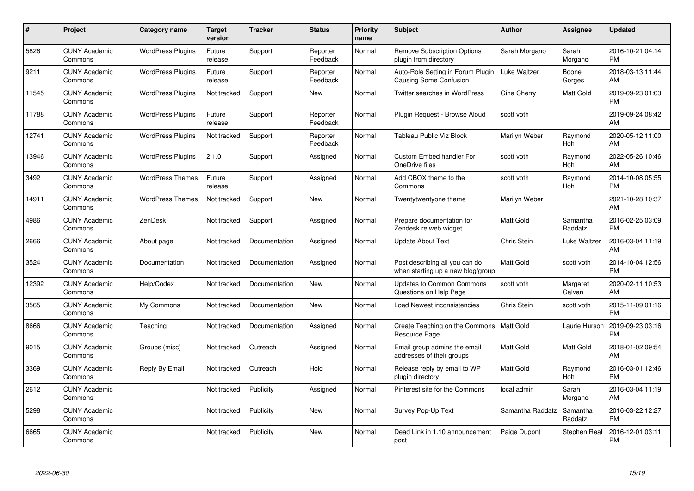| #     | Project                         | <b>Category name</b>     | <b>Target</b><br>version | <b>Tracker</b> | <b>Status</b>        | <b>Priority</b><br>name | <b>Subject</b>                                                      | <b>Author</b>    | <b>Assignee</b>     | <b>Updated</b>                |
|-------|---------------------------------|--------------------------|--------------------------|----------------|----------------------|-------------------------|---------------------------------------------------------------------|------------------|---------------------|-------------------------------|
| 5826  | <b>CUNY Academic</b><br>Commons | <b>WordPress Plugins</b> | Future<br>release        | Support        | Reporter<br>Feedback | Normal                  | <b>Remove Subscription Options</b><br>plugin from directory         | Sarah Morgano    | Sarah<br>Morgano    | 2016-10-21 04:14<br><b>PM</b> |
| 9211  | <b>CUNY Academic</b><br>Commons | <b>WordPress Plugins</b> | Future<br>release        | Support        | Reporter<br>Feedback | Normal                  | Auto-Role Setting in Forum Plugin<br><b>Causing Some Confusion</b>  | Luke Waltzer     | Boone<br>Gorges     | 2018-03-13 11:44<br>AM        |
| 11545 | <b>CUNY Academic</b><br>Commons | <b>WordPress Plugins</b> | Not tracked              | Support        | <b>New</b>           | Normal                  | <b>Twitter searches in WordPress</b>                                | Gina Cherry      | Matt Gold           | 2019-09-23 01:03<br><b>PM</b> |
| 11788 | <b>CUNY Academic</b><br>Commons | <b>WordPress Plugins</b> | Future<br>release        | Support        | Reporter<br>Feedback | Normal                  | Plugin Request - Browse Aloud                                       | scott voth       |                     | 2019-09-24 08:42<br>AM        |
| 12741 | <b>CUNY Academic</b><br>Commons | <b>WordPress Plugins</b> | Not tracked              | Support        | Reporter<br>Feedback | Normal                  | Tableau Public Viz Block                                            | Marilyn Weber    | Raymond<br>Hoh      | 2020-05-12 11:00<br>AM        |
| 13946 | <b>CUNY Academic</b><br>Commons | <b>WordPress Plugins</b> | 2.1.0                    | Support        | Assigned             | Normal                  | Custom Embed handler For<br>OneDrive files                          | scott voth       | Raymond<br>Hoh      | 2022-05-26 10:46<br>AM        |
| 3492  | <b>CUNY Academic</b><br>Commons | <b>WordPress Themes</b>  | Future<br>release        | Support        | Assigned             | Normal                  | Add CBOX theme to the<br>Commons                                    | scott voth       | Raymond<br>Hoh      | 2014-10-08 05:55<br><b>PM</b> |
| 14911 | <b>CUNY Academic</b><br>Commons | <b>WordPress Themes</b>  | Not tracked              | Support        | <b>New</b>           | Normal                  | Twentytwentyone theme                                               | Marilyn Weber    |                     | 2021-10-28 10:37<br>AM        |
| 4986  | <b>CUNY Academic</b><br>Commons | ZenDesk                  | Not tracked              | Support        | Assigned             | Normal                  | Prepare documentation for<br>Zendesk re web widget                  | <b>Matt Gold</b> | Samantha<br>Raddatz | 2016-02-25 03:09<br><b>PM</b> |
| 2666  | <b>CUNY Academic</b><br>Commons | About page               | Not tracked              | Documentation  | Assigned             | Normal                  | <b>Update About Text</b>                                            | Chris Stein      | Luke Waltzer        | 2016-03-04 11:19<br>AM        |
| 3524  | <b>CUNY Academic</b><br>Commons | Documentation            | Not tracked              | Documentation  | Assigned             | Normal                  | Post describing all you can do<br>when starting up a new blog/group | <b>Matt Gold</b> | scott voth          | 2014-10-04 12:56<br><b>PM</b> |
| 12392 | <b>CUNY Academic</b><br>Commons | Help/Codex               | Not tracked              | Documentation  | <b>New</b>           | Normal                  | <b>Updates to Common Commons</b><br>Questions on Help Page          | scott voth       | Margaret<br>Galvan  | 2020-02-11 10:53<br>AM        |
| 3565  | <b>CUNY Academic</b><br>Commons | My Commons               | Not tracked              | Documentation  | New                  | Normal                  | Load Newest inconsistencies                                         | Chris Stein      | scott voth          | 2015-11-09 01:16<br><b>PM</b> |
| 8666  | <b>CUNY Academic</b><br>Commons | Teaching                 | Not tracked              | Documentation  | Assigned             | Normal                  | Create Teaching on the Commons<br>Resource Page                     | Matt Gold        | Laurie Hurson       | 2019-09-23 03:16<br><b>PM</b> |
| 9015  | <b>CUNY Academic</b><br>Commons | Groups (misc)            | Not tracked              | Outreach       | Assigned             | Normal                  | Email group admins the email<br>addresses of their groups           | <b>Matt Gold</b> | Matt Gold           | 2018-01-02 09:54<br>AM        |
| 3369  | <b>CUNY Academic</b><br>Commons | Reply By Email           | Not tracked              | Outreach       | Hold                 | Normal                  | Release reply by email to WP<br>plugin directory                    | Matt Gold        | Raymond<br>Hoh      | 2016-03-01 12:46<br><b>PM</b> |
| 2612  | <b>CUNY Academic</b><br>Commons |                          | Not tracked              | Publicity      | Assigned             | Normal                  | Pinterest site for the Commons                                      | local admin      | Sarah<br>Morgano    | 2016-03-04 11:19<br>AM        |
| 5298  | <b>CUNY Academic</b><br>Commons |                          | Not tracked              | Publicity      | New                  | Normal                  | Survey Pop-Up Text                                                  | Samantha Raddatz | Samantha<br>Raddatz | 2016-03-22 12:27<br><b>PM</b> |
| 6665  | <b>CUNY Academic</b><br>Commons |                          | Not tracked              | Publicity      | <b>New</b>           | Normal                  | Dead Link in 1.10 announcement<br>post                              | Paige Dupont     | Stephen Real        | 2016-12-01 03:11<br><b>PM</b> |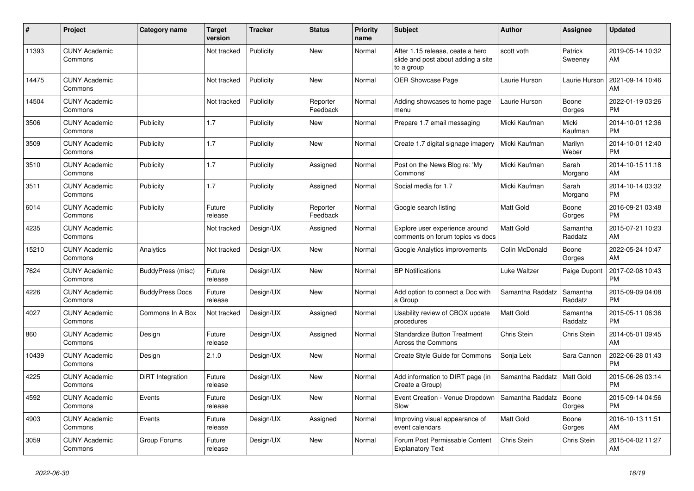| #     | Project                         | <b>Category name</b>   | <b>Target</b><br>version | <b>Tracker</b> | <b>Status</b>        | <b>Priority</b><br>name | <b>Subject</b>                                                                       | <b>Author</b>    | <b>Assignee</b>     | <b>Updated</b>                |
|-------|---------------------------------|------------------------|--------------------------|----------------|----------------------|-------------------------|--------------------------------------------------------------------------------------|------------------|---------------------|-------------------------------|
| 11393 | <b>CUNY Academic</b><br>Commons |                        | Not tracked              | Publicity      | New                  | Normal                  | After 1.15 release, ceate a hero<br>slide and post about adding a site<br>to a group | scott voth       | Patrick<br>Sweeney  | 2019-05-14 10:32<br>AM        |
| 14475 | <b>CUNY Academic</b><br>Commons |                        | Not tracked              | Publicity      | New                  | Normal                  | OER Showcase Page                                                                    | Laurie Hurson    | Laurie Hurson       | 2021-09-14 10:46<br>AM        |
| 14504 | <b>CUNY Academic</b><br>Commons |                        | Not tracked              | Publicity      | Reporter<br>Feedback | Normal                  | Adding showcases to home page<br>menu                                                | Laurie Hurson    | Boone<br>Gorges     | 2022-01-19 03:26<br><b>PM</b> |
| 3506  | <b>CUNY Academic</b><br>Commons | Publicity              | 1.7                      | Publicity      | New                  | Normal                  | Prepare 1.7 email messaging                                                          | Micki Kaufman    | Micki<br>Kaufman    | 2014-10-01 12:36<br><b>PM</b> |
| 3509  | <b>CUNY Academic</b><br>Commons | Publicity              | 1.7                      | Publicity      | <b>New</b>           | Normal                  | Create 1.7 digital signage imagery                                                   | Micki Kaufman    | Marilyn<br>Weber    | 2014-10-01 12:40<br><b>PM</b> |
| 3510  | <b>CUNY Academic</b><br>Commons | Publicity              | 1.7                      | Publicity      | Assigned             | Normal                  | Post on the News Blog re: 'My<br>Commons'                                            | Micki Kaufman    | Sarah<br>Morgano    | 2014-10-15 11:18<br>AM        |
| 3511  | <b>CUNY Academic</b><br>Commons | Publicity              | 1.7                      | Publicity      | Assigned             | Normal                  | Social media for 1.7                                                                 | Micki Kaufman    | Sarah<br>Morgano    | 2014-10-14 03:32<br><b>PM</b> |
| 6014  | <b>CUNY Academic</b><br>Commons | Publicity              | Future<br>release        | Publicity      | Reporter<br>Feedback | Normal                  | Google search listing                                                                | <b>Matt Gold</b> | Boone<br>Gorges     | 2016-09-21 03:48<br><b>PM</b> |
| 4235  | <b>CUNY Academic</b><br>Commons |                        | Not tracked              | Design/UX      | Assigned             | Normal                  | Explore user experience around<br>comments on forum topics vs docs                   | <b>Matt Gold</b> | Samantha<br>Raddatz | 2015-07-21 10:23<br>AM        |
| 15210 | <b>CUNY Academic</b><br>Commons | Analytics              | Not tracked              | Design/UX      | <b>New</b>           | Normal                  | Google Analytics improvements                                                        | Colin McDonald   | Boone<br>Gorges     | 2022-05-24 10:47<br>AM        |
| 7624  | <b>CUNY Academic</b><br>Commons | BuddyPress (misc)      | Future<br>release        | Design/UX      | <b>New</b>           | Normal                  | <b>BP Notifications</b>                                                              | Luke Waltzer     | Paige Dupont        | 2017-02-08 10:43<br><b>PM</b> |
| 4226  | <b>CUNY Academic</b><br>Commons | <b>BuddyPress Docs</b> | Future<br>release        | Design/UX      | <b>New</b>           | Normal                  | Add option to connect a Doc with<br>a Group                                          | Samantha Raddatz | Samantha<br>Raddatz | 2015-09-09 04:08<br><b>PM</b> |
| 4027  | <b>CUNY Academic</b><br>Commons | Commons In A Box       | Not tracked              | Design/UX      | Assigned             | Normal                  | Usability review of CBOX update<br>procedures                                        | Matt Gold        | Samantha<br>Raddatz | 2015-05-11 06:36<br><b>PM</b> |
| 860   | <b>CUNY Academic</b><br>Commons | Design                 | Future<br>release        | Design/UX      | Assigned             | Normal                  | <b>Standardize Button Treatment</b><br><b>Across the Commons</b>                     | Chris Stein      | Chris Stein         | 2014-05-01 09:45<br>AM        |
| 10439 | <b>CUNY Academic</b><br>Commons | Design                 | 2.1.0                    | Design/UX      | <b>New</b>           | Normal                  | Create Style Guide for Commons                                                       | Sonja Leix       | Sara Cannon         | 2022-06-28 01:43<br><b>PM</b> |
| 4225  | <b>CUNY Academic</b><br>Commons | DiRT Integration       | Future<br>release        | Design/UX      | <b>New</b>           | Normal                  | Add information to DIRT page (in<br>Create a Group)                                  | Samantha Raddatz | Matt Gold           | 2015-06-26 03:14<br><b>PM</b> |
| 4592  | <b>CUNY Academic</b><br>Commons | Events                 | Future<br>release        | Design/UX      | <b>New</b>           | Normal                  | Event Creation - Venue Dropdown<br>Slow                                              | Samantha Raddatz | Boone<br>Gorges     | 2015-09-14 04:56<br><b>PM</b> |
| 4903  | <b>CUNY Academic</b><br>Commons | Events                 | Future<br>release        | Design/UX      | Assigned             | Normal                  | Improving visual appearance of<br>event calendars                                    | <b>Matt Gold</b> | Boone<br>Gorges     | 2016-10-13 11:51<br>AM        |
| 3059  | <b>CUNY Academic</b><br>Commons | Group Forums           | Future<br>release        | Design/UX      | <b>New</b>           | Normal                  | Forum Post Permissable Content<br><b>Explanatory Text</b>                            | Chris Stein      | Chris Stein         | 2015-04-02 11:27<br>AM        |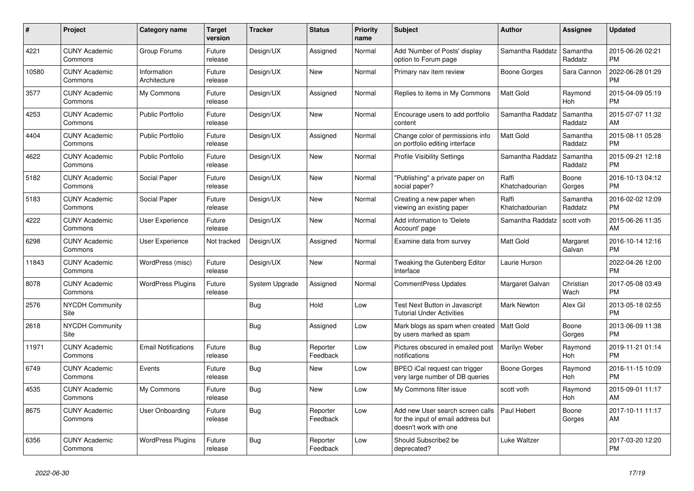| #     | Project                         | Category name               | <b>Target</b><br>version | <b>Tracker</b> | <b>Status</b>        | Priority<br>name | <b>Subject</b>                                                                                  | <b>Author</b>           | Assignee            | <b>Updated</b>                |
|-------|---------------------------------|-----------------------------|--------------------------|----------------|----------------------|------------------|-------------------------------------------------------------------------------------------------|-------------------------|---------------------|-------------------------------|
| 4221  | <b>CUNY Academic</b><br>Commons | Group Forums                | Future<br>release        | Design/UX      | Assigned             | Normal           | Add 'Number of Posts' display<br>option to Forum page                                           | Samantha Raddatz        | Samantha<br>Raddatz | 2015-06-26 02:21<br><b>PM</b> |
| 10580 | <b>CUNY Academic</b><br>Commons | Information<br>Architecture | Future<br>release        | Design/UX      | <b>New</b>           | Normal           | Primary nav item review                                                                         | Boone Gorges            | Sara Cannon         | 2022-06-28 01:29<br><b>PM</b> |
| 3577  | <b>CUNY Academic</b><br>Commons | My Commons                  | Future<br>release        | Design/UX      | Assigned             | Normal           | Replies to items in My Commons                                                                  | Matt Gold               | Raymond<br>Hoh      | 2015-04-09 05:19<br><b>PM</b> |
| 4253  | <b>CUNY Academic</b><br>Commons | Public Portfolio            | Future<br>release        | Design/UX      | New                  | Normal           | Encourage users to add portfolio<br>content                                                     | Samantha Raddatz        | Samantha<br>Raddatz | 2015-07-07 11:32<br>AM        |
| 4404  | <b>CUNY Academic</b><br>Commons | <b>Public Portfolio</b>     | Future<br>release        | Design/UX      | Assigned             | Normal           | Change color of permissions info<br>on portfolio editing interface                              | <b>Matt Gold</b>        | Samantha<br>Raddatz | 2015-08-11 05:28<br><b>PM</b> |
| 4622  | <b>CUNY Academic</b><br>Commons | <b>Public Portfolio</b>     | Future<br>release        | Design/UX      | New                  | Normal           | <b>Profile Visibility Settings</b>                                                              | Samantha Raddatz        | Samantha<br>Raddatz | 2015-09-21 12:18<br><b>PM</b> |
| 5182  | <b>CUNY Academic</b><br>Commons | Social Paper                | Future<br>release        | Design/UX      | <b>New</b>           | Normal           | "Publishing" a private paper on<br>social paper?                                                | Raffi<br>Khatchadourian | Boone<br>Gorges     | 2016-10-13 04:12<br><b>PM</b> |
| 5183  | <b>CUNY Academic</b><br>Commons | Social Paper                | Future<br>release        | Design/UX      | <b>New</b>           | Normal           | Creating a new paper when<br>viewing an existing paper                                          | Raffi<br>Khatchadourian | Samantha<br>Raddatz | 2016-02-02 12:09<br><b>PM</b> |
| 4222  | <b>CUNY Academic</b><br>Commons | <b>User Experience</b>      | Future<br>release        | Design/UX      | <b>New</b>           | Normal           | Add information to 'Delete<br>Account' page                                                     | Samantha Raddatz        | scott voth          | 2015-06-26 11:35<br>AM        |
| 6298  | <b>CUNY Academic</b><br>Commons | <b>User Experience</b>      | Not tracked              | Design/UX      | Assigned             | Normal           | Examine data from survey                                                                        | Matt Gold               | Margaret<br>Galvan  | 2016-10-14 12:16<br><b>PM</b> |
| 11843 | <b>CUNY Academic</b><br>Commons | WordPress (misc)            | Future<br>release        | Design/UX      | <b>New</b>           | Normal           | Tweaking the Gutenberg Editor<br>Interface                                                      | Laurie Hurson           |                     | 2022-04-26 12:00<br><b>PM</b> |
| 8078  | <b>CUNY Academic</b><br>Commons | <b>WordPress Plugins</b>    | Future<br>release        | System Upgrade | Assigned             | Normal           | CommentPress Updates                                                                            | Margaret Galvan         | Christian<br>Wach   | 2017-05-08 03:49<br><b>PM</b> |
| 2576  | <b>NYCDH Community</b><br>Site  |                             |                          | Bug            | Hold                 | Low              | Test Next Button in Javascript<br><b>Tutorial Under Activities</b>                              | <b>Mark Newton</b>      | Alex Gil            | 2013-05-18 02:55<br><b>PM</b> |
| 2618  | <b>NYCDH Community</b><br>Site  |                             |                          | Bug            | Assigned             | Low              | Mark blogs as spam when created<br>by users marked as spam                                      | Matt Gold               | Boone<br>Gorges     | 2013-06-09 11:38<br><b>PM</b> |
| 11971 | <b>CUNY Academic</b><br>Commons | <b>Email Notifications</b>  | Future<br>release        | Bug            | Reporter<br>Feedback | Low              | Pictures obscured in emailed post<br>notifications                                              | Marilyn Weber           | Raymond<br>Hoh      | 2019-11-21 01:14<br><b>PM</b> |
| 6749  | <b>CUNY Academic</b><br>Commons | Events                      | Future<br>release        | Bug            | New                  | Low              | BPEO iCal request can trigger<br>very large number of DB queries                                | Boone Gorges            | Raymond<br>Hoh      | 2016-11-15 10:09<br><b>PM</b> |
| 4535  | <b>CUNY Academic</b><br>Commons | My Commons                  | Future<br>release        | Bug            | New                  | Low              | My Commons filter issue                                                                         | scott voth              | Raymond<br>Hoh      | 2015-09-01 11:17<br>AM        |
| 8675  | <b>CUNY Academic</b><br>Commons | User Onboarding             | Future<br>release        | Bug            | Reporter<br>Feedback | Low              | Add new User search screen calls<br>for the input of email address but<br>doesn't work with one | Paul Hebert             | Boone<br>Gorges     | 2017-10-11 11:17<br>AM        |
| 6356  | <b>CUNY Academic</b><br>Commons | <b>WordPress Plugins</b>    | Future<br>release        | Bug            | Reporter<br>Feedback | Low              | Should Subscribe2 be<br>deprecated?                                                             | Luke Waltzer            |                     | 2017-03-20 12:20<br><b>PM</b> |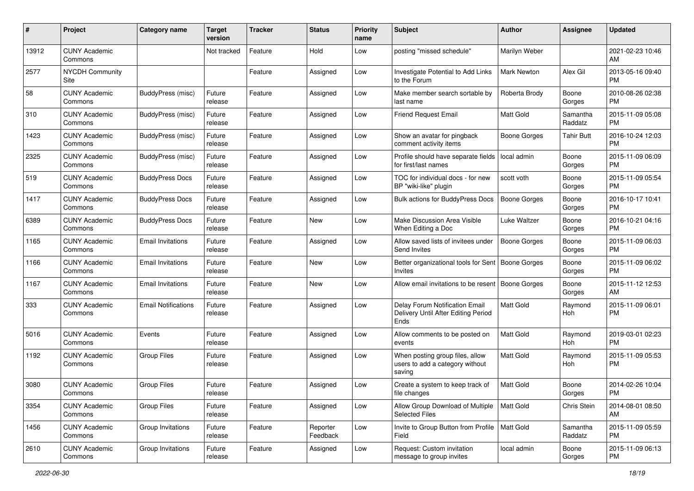| #     | Project                         | <b>Category name</b>       | Target<br>version | <b>Tracker</b> | <b>Status</b>        | <b>Priority</b><br>name | <b>Subject</b>                                                                | <b>Author</b>       | <b>Assignee</b>     | <b>Updated</b>                |
|-------|---------------------------------|----------------------------|-------------------|----------------|----------------------|-------------------------|-------------------------------------------------------------------------------|---------------------|---------------------|-------------------------------|
| 13912 | <b>CUNY Academic</b><br>Commons |                            | Not tracked       | Feature        | Hold                 | Low                     | posting "missed schedule"                                                     | Marilyn Weber       |                     | 2021-02-23 10:46<br>AM        |
| 2577  | <b>NYCDH Community</b><br>Site  |                            |                   | Feature        | Assigned             | Low                     | Investigate Potential to Add Links<br>to the Forum                            | Mark Newton         | Alex Gil            | 2013-05-16 09:40<br><b>PM</b> |
| 58    | <b>CUNY Academic</b><br>Commons | BuddyPress (misc)          | Future<br>release | Feature        | Assigned             | Low                     | Make member search sortable by<br>last name                                   | Roberta Brody       | Boone<br>Gorges     | 2010-08-26 02:38<br><b>PM</b> |
| 310   | <b>CUNY Academic</b><br>Commons | BuddyPress (misc)          | Future<br>release | Feature        | Assigned             | Low                     | <b>Friend Request Email</b>                                                   | Matt Gold           | Samantha<br>Raddatz | 2015-11-09 05:08<br><b>PM</b> |
| 1423  | <b>CUNY Academic</b><br>Commons | BuddyPress (misc)          | Future<br>release | Feature        | Assigned             | Low                     | Show an avatar for pingback<br>comment activity items                         | Boone Gorges        | <b>Tahir Butt</b>   | 2016-10-24 12:03<br><b>PM</b> |
| 2325  | <b>CUNY Academic</b><br>Commons | BuddyPress (misc)          | Future<br>release | Feature        | Assigned             | Low                     | Profile should have separate fields<br>for first/last names                   | local admin         | Boone<br>Gorges     | 2015-11-09 06:09<br><b>PM</b> |
| 519   | <b>CUNY Academic</b><br>Commons | <b>BuddyPress Docs</b>     | Future<br>release | Feature        | Assigned             | Low                     | TOC for individual docs - for new<br>BP "wiki-like" plugin                    | scott voth          | Boone<br>Gorges     | 2015-11-09 05:54<br><b>PM</b> |
| 1417  | <b>CUNY Academic</b><br>Commons | <b>BuddyPress Docs</b>     | Future<br>release | Feature        | Assigned             | Low                     | Bulk actions for BuddyPress Docs                                              | <b>Boone Gorges</b> | Boone<br>Gorges     | 2016-10-17 10:41<br>PM        |
| 6389  | <b>CUNY Academic</b><br>Commons | <b>BuddyPress Docs</b>     | Future<br>release | Feature        | New                  | Low                     | Make Discussion Area Visible<br>When Editing a Doc                            | Luke Waltzer        | Boone<br>Gorges     | 2016-10-21 04:16<br><b>PM</b> |
| 1165  | <b>CUNY Academic</b><br>Commons | <b>Email Invitations</b>   | Future<br>release | Feature        | Assigned             | Low                     | Allow saved lists of invitees under<br>Send Invites                           | <b>Boone Gorges</b> | Boone<br>Gorges     | 2015-11-09 06:03<br><b>PM</b> |
| 1166  | <b>CUNY Academic</b><br>Commons | Email Invitations          | Future<br>release | Feature        | New                  | Low                     | Better organizational tools for Sent<br>Invites                               | <b>Boone Gorges</b> | Boone<br>Gorges     | 2015-11-09 06:02<br><b>PM</b> |
| 1167  | <b>CUNY Academic</b><br>Commons | <b>Email Invitations</b>   | Future<br>release | Feature        | <b>New</b>           | Low                     | Allow email invitations to be resent                                          | <b>Boone Gorges</b> | Boone<br>Gorges     | 2015-11-12 12:53<br>AM        |
| 333   | <b>CUNY Academic</b><br>Commons | <b>Email Notifications</b> | Future<br>release | Feature        | Assigned             | Low                     | Delay Forum Notification Email<br>Delivery Until After Editing Period<br>Ends | Matt Gold           | Raymond<br>Hoh      | 2015-11-09 06:01<br><b>PM</b> |
| 5016  | <b>CUNY Academic</b><br>Commons | Events                     | Future<br>release | Feature        | Assigned             | Low                     | Allow comments to be posted on<br>events                                      | <b>Matt Gold</b>    | Raymond<br>Hoh      | 2019-03-01 02:23<br><b>PM</b> |
| 1192  | <b>CUNY Academic</b><br>Commons | <b>Group Files</b>         | Future<br>release | Feature        | Assigned             | Low                     | When posting group files, allow<br>users to add a category without<br>saving  | Matt Gold           | Raymond<br>Hoh      | 2015-11-09 05:53<br><b>PM</b> |
| 3080  | <b>CUNY Academic</b><br>Commons | <b>Group Files</b>         | Future<br>release | Feature        | Assigned             | Low                     | Create a system to keep track of<br>file changes                              | <b>Matt Gold</b>    | Boone<br>Gorges     | 2014-02-26 10:04<br>PM        |
| 3354  | <b>CUNY Academic</b><br>Commons | Group Files                | Future<br>release | Feature        | Assigned             | Low                     | Allow Group Download of Multiple<br><b>Selected Files</b>                     | Matt Gold           | Chris Stein         | 2014-08-01 08:50<br>AM        |
| 1456  | <b>CUNY Academic</b><br>Commons | Group Invitations          | Future<br>release | Feature        | Reporter<br>Feedback | Low                     | Invite to Group Button from Profile<br>Field                                  | Matt Gold           | Samantha<br>Raddatz | 2015-11-09 05:59<br><b>PM</b> |
| 2610  | <b>CUNY Academic</b><br>Commons | Group Invitations          | Future<br>release | Feature        | Assigned             | Low                     | Request: Custom invitation<br>message to group invites                        | local admin         | Boone<br>Gorges     | 2015-11-09 06:13<br><b>PM</b> |